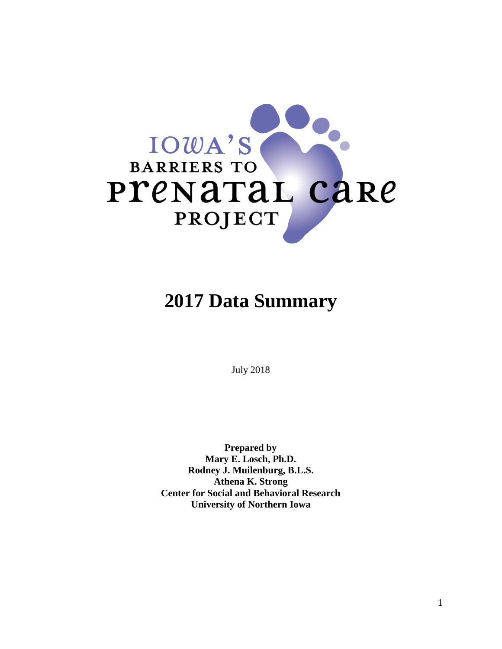

# **2017 Data Summary**

July 2018

**Prepared by Mary E. Losch, Ph.D. Rodney J. Muilenburg, B.L.S. Athena K. Strong Center for Social and Behavioral Research University of Northern Iowa**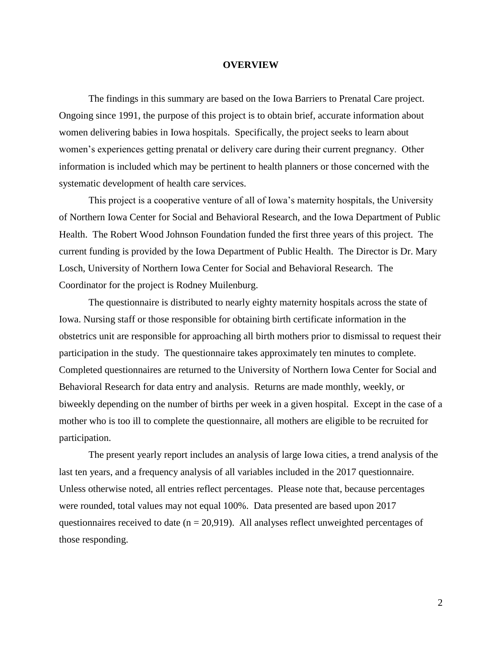#### **OVERVIEW**

The findings in this summary are based on the Iowa Barriers to Prenatal Care project. Ongoing since 1991, the purpose of this project is to obtain brief, accurate information about women delivering babies in Iowa hospitals. Specifically, the project seeks to learn about women's experiences getting prenatal or delivery care during their current pregnancy. Other information is included which may be pertinent to health planners or those concerned with the systematic development of health care services.

This project is a cooperative venture of all of Iowa's maternity hospitals, the University of Northern Iowa Center for Social and Behavioral Research, and the Iowa Department of Public Health. The Robert Wood Johnson Foundation funded the first three years of this project. The current funding is provided by the Iowa Department of Public Health. The Director is Dr. Mary Losch, University of Northern Iowa Center for Social and Behavioral Research. The Coordinator for the project is Rodney Muilenburg.

The questionnaire is distributed to nearly eighty maternity hospitals across the state of Iowa. Nursing staff or those responsible for obtaining birth certificate information in the obstetrics unit are responsible for approaching all birth mothers prior to dismissal to request their participation in the study. The questionnaire takes approximately ten minutes to complete. Completed questionnaires are returned to the University of Northern Iowa Center for Social and Behavioral Research for data entry and analysis. Returns are made monthly, weekly, or biweekly depending on the number of births per week in a given hospital. Except in the case of a mother who is too ill to complete the questionnaire, all mothers are eligible to be recruited for participation.

The present yearly report includes an analysis of large Iowa cities, a trend analysis of the last ten years, and a frequency analysis of all variables included in the 2017 questionnaire. Unless otherwise noted, all entries reflect percentages. Please note that, because percentages were rounded, total values may not equal 100%. Data presented are based upon 2017 questionnaires received to date ( $n = 20,919$ ). All analyses reflect unweighted percentages of those responding.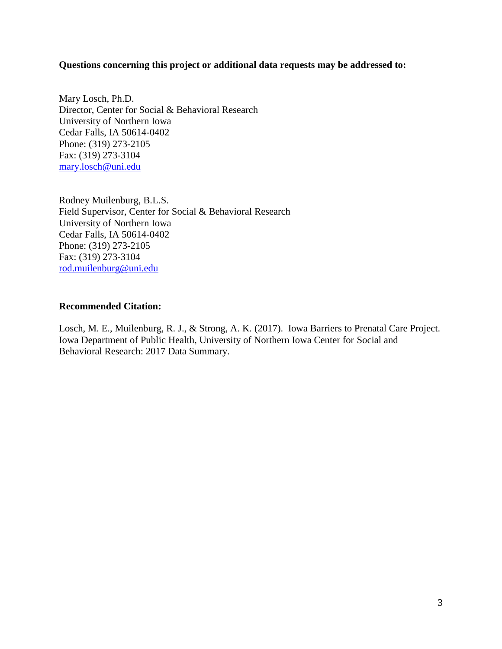#### **Questions concerning this project or additional data requests may be addressed to:**

Mary Losch, Ph.D. Director, Center for Social & Behavioral Research University of Northern Iowa Cedar Falls, IA 50614-0402 Phone: (319) 273-2105 Fax: (319) 273-3104 [mary.losch@uni.edu](mailto:mary.losch@uni.edu)

Rodney Muilenburg, B.L.S. Field Supervisor, Center for Social & Behavioral Research University of Northern Iowa Cedar Falls, IA 50614-0402 Phone: (319) 273-2105 Fax: (319) 273-3104 [rod.muilenburg@uni.edu](mailto:sdw1307@uni.edu)

### **Recommended Citation:**

Losch, M. E., Muilenburg, R. J., & Strong, A. K. (2017). Iowa Barriers to Prenatal Care Project. Iowa Department of Public Health, University of Northern Iowa Center for Social and Behavioral Research: 2017 Data Summary.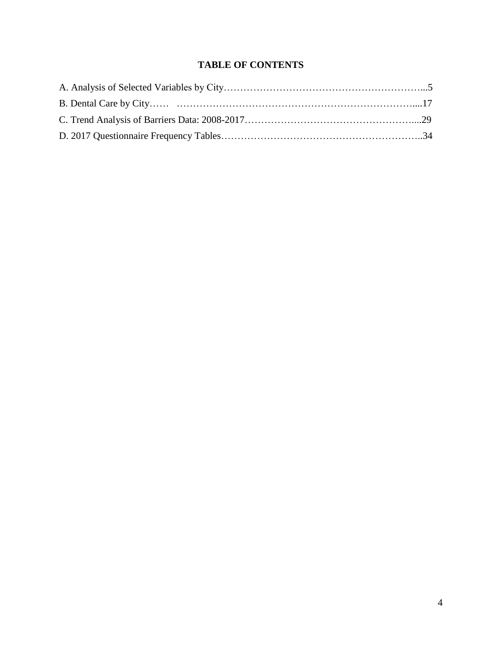# **TABLE OF CONTENTS**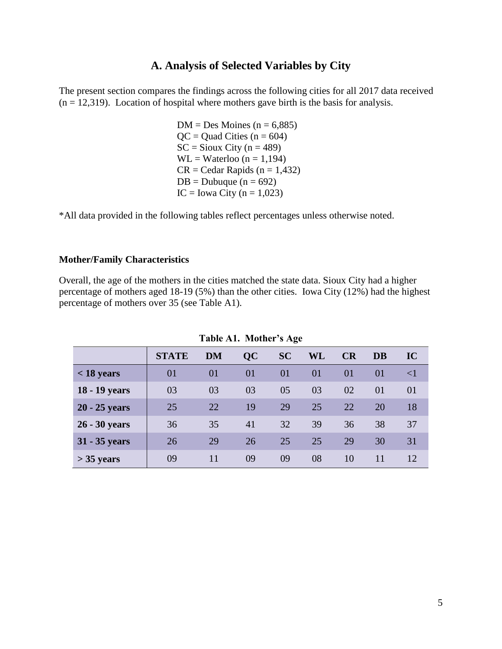# **A. Analysis of Selected Variables by City**

The present section compares the findings across the following cities for all 2017 data received  $(n = 12,319)$ . Location of hospital where mothers gave birth is the basis for analysis.

> $DM = Des$  Moines (n = 6,885)  $QC = Quad Cities (n = 604)$  $SC =$  Sioux City (n = 489)  $WL = Waterloo (n = 1,194)$  $CR = Cedar Rapids (n = 1,432)$  $DB = Dubuque (n = 692)$ IC = Iowa City ( $n = 1,023$ )

\*All data provided in the following tables reflect percentages unless otherwise noted.

#### **Mother/Family Characteristics**

Overall, the age of the mothers in the cities matched the state data. Sioux City had a higher percentage of mothers aged 18-19 (5%) than the other cities. Iowa City (12%) had the highest percentage of mothers over 35 (see Table A1).

|                 | o            |    |           |           |    |    |    |          |
|-----------------|--------------|----|-----------|-----------|----|----|----|----------|
|                 | <b>STATE</b> | DM | <b>QC</b> | <b>SC</b> | WL | CR | DB | IC       |
| $<$ 18 years    | 01           | 01 | 01        | 01        | 01 | 01 | 01 | $\leq$ 1 |
| 18 - 19 years   | 03           | 03 | 03        | 05        | 03 | 02 | 01 | 01       |
| $20 - 25$ years | 25           | 22 | 19        | 29        | 25 | 22 | 20 | 18       |
| 26 - 30 years   | 36           | 35 | 41        | 32        | 39 | 36 | 38 | 37       |
| 31 - 35 years   | 26           | 29 | 26        | 25        | 25 | 29 | 30 | 31       |
| $> 35$ years    | 09           | 11 | 09        | 09        | 08 | 10 | 11 | 12       |

**Table A1. Mother's Age**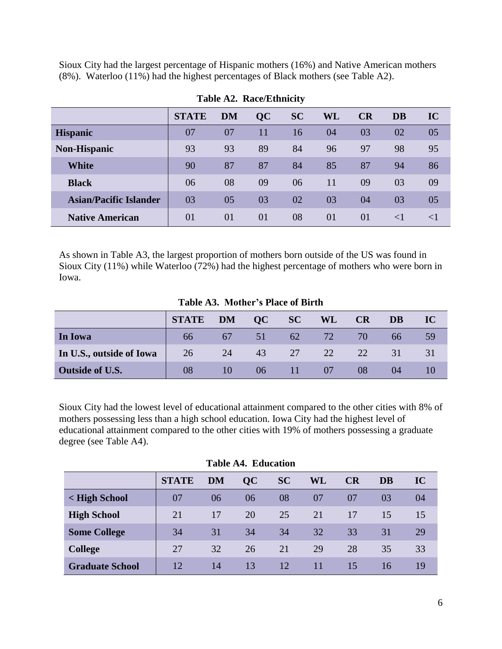Sioux City had the largest percentage of Hispanic mothers (16%) and Native American mothers (8%). Waterloo (11%) had the highest percentages of Black mothers (see Table A2).

|                               |              |           |    | $\bullet$ |    |    |           |          |
|-------------------------------|--------------|-----------|----|-----------|----|----|-----------|----------|
|                               | <b>STATE</b> | <b>DM</b> | QC | <b>SC</b> | WL | CR | <b>DB</b> | IC       |
| <b>Hispanic</b>               | 07           | 07        | 11 | 16        | 04 | 03 | 02        | 05       |
| <b>Non-Hispanic</b>           | 93           | 93        | 89 | 84        | 96 | 97 | 98        | 95       |
| <b>White</b>                  | 90           | 87        | 87 | 84        | 85 | 87 | 94        | 86       |
| <b>Black</b>                  | 06           | 08        | 09 | 06        | 11 | 09 | 03        | 09       |
| <b>Asian/Pacific Islander</b> | 03           | 05        | 03 | 02        | 03 | 04 | 03        | 05       |
| <b>Native American</b>        | 01           | 01        | 01 | 08        | 01 | 01 | $\leq$ 1  | $\leq$ 1 |

#### **Table A2. Race/Ethnicity**

As shown in Table A3, the largest proportion of mothers born outside of the US was found in Sioux City (11%) while Waterloo (72%) had the highest percentage of mothers who were born in Iowa.

**Table A3. Mother's Place of Birth**

|                          | <b>STATE</b> | <b>DM</b> | OC | <b>SC</b>       | WL | CR | DB  | IC |
|--------------------------|--------------|-----------|----|-----------------|----|----|-----|----|
| In Iowa                  | 66           | 67        | 51 | 62 <sup>7</sup> | 72 | 70 | 66. | 59 |
| In U.S., outside of Iowa | 26           | 24        | 43 | 27              | 22 | 22 | 31  | 31 |
| <b>Outside of U.S.</b>   | 08           | 10        | 06 | 11              | 07 | 08 | 04  |    |

Sioux City had the lowest level of educational attainment compared to the other cities with 8% of mothers possessing less than a high school education. Iowa City had the highest level of educational attainment compared to the other cities with 19% of mothers possessing a graduate degree (see Table A4).

| *********************  |              |           |           |           |    |    |           |    |  |  |
|------------------------|--------------|-----------|-----------|-----------|----|----|-----------|----|--|--|
|                        | <b>STATE</b> | <b>DM</b> | <b>QC</b> | <b>SC</b> | WL | CR | <b>DB</b> | IC |  |  |
| < High School          | 07           | 06        | 06        | 08        | 07 | 07 | 03        | 04 |  |  |
| <b>High School</b>     | 21           | 17        | 20        | 25        | 21 | 17 | 15        | 15 |  |  |
| <b>Some College</b>    | 34           | 31        | 34        | 34        | 32 | 33 | 31        | 29 |  |  |
| <b>College</b>         | 27           | 32        | 26        | 21        | 29 | 28 | 35        | 33 |  |  |
| <b>Graduate School</b> | 12           | 14        | 13        | 12        | 11 | 15 | 16        | 19 |  |  |

**Table A4. Education**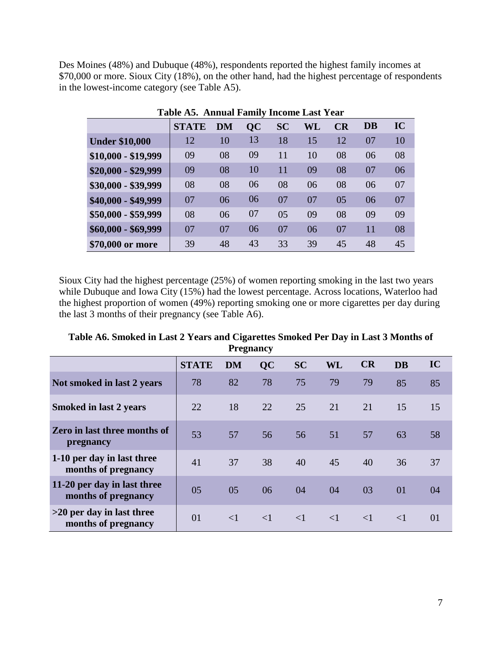Des Moines (48%) and Dubuque (48%), respondents reported the highest family incomes at \$70,000 or more. Sioux City (18%), on the other hand, had the highest percentage of respondents in the lowest-income category (see Table A5).

| <b>Table A5. Annual Family Income Last Year</b> |              |           |    |           |    |    |           |    |  |  |  |
|-------------------------------------------------|--------------|-----------|----|-----------|----|----|-----------|----|--|--|--|
|                                                 | <b>STATE</b> | <b>DM</b> | QC | <b>SC</b> | WL | CR | <b>DB</b> | IC |  |  |  |
| <b>Under \$10,000</b>                           | 12           | 10        | 13 | 18        | 15 | 12 | 07        | 10 |  |  |  |
| $$10,000 - $19,999$                             | 09           | 08        | 09 | 11        | 10 | 08 | 06        | 08 |  |  |  |
| $$20,000 - $29,999$                             | 09           | 08        | 10 | 11        | 09 | 08 | 07        | 06 |  |  |  |
| $$30,000 - $39,999$                             | 08           | 08        | 06 | 08        | 06 | 08 | 06        | 07 |  |  |  |
| $$40,000 - $49,999$                             | 07           | 06        | 06 | 07        | 07 | 05 | 06        | 07 |  |  |  |
| \$50,000 - \$59,999                             | 08           | 06        | 07 | 05        | 09 | 08 | 09        | 09 |  |  |  |
| $$60,000 - $69,999$                             | 07           | 07        | 06 | 07        | 06 | 07 | 11        | 08 |  |  |  |
| \$70,000 or more                                | 39           | 48        | 43 | 33        | 39 | 45 | 48        | 45 |  |  |  |

Sioux City had the highest percentage (25%) of women reporting smoking in the last two years while Dubuque and Iowa City (15%) had the lowest percentage. Across locations, Waterloo had the highest proportion of women (49%) reporting smoking one or more cigarettes per day during the last 3 months of their pregnancy (see Table A6).

| Table A6. Smoked in Last 2 Years and Cigarettes Smoked Per Day in Last 3 Months of |
|------------------------------------------------------------------------------------|
| <b>Pregnancy</b>                                                                   |

|                                                    | <b>STATE</b> | <b>DM</b> | <b>QC</b> | <b>SC</b> | WL       | CR       | <b>DB</b> | IC |
|----------------------------------------------------|--------------|-----------|-----------|-----------|----------|----------|-----------|----|
| Not smoked in last 2 years                         | 78           | 82        | 78        | 75        | 79       | 79       | 85        | 85 |
| <b>Smoked in last 2 years</b>                      | 22           | 18        | 22        | 25        | 21       | 21       | 15        | 15 |
| <b>Zero in last three months of</b><br>pregnancy   | 53           | 57        | 56        | 56        | 51       | 57       | 63        | 58 |
| 1-10 per day in last three<br>months of pregnancy  | 41           | 37        | 38        | 40        | 45       | 40       | 36        | 37 |
| 11-20 per day in last three<br>months of pregnancy | 05           | 05        | 06        | 04        | 04       | 03       | 01        | 04 |
| $>20$ per day in last three<br>months of pregnancy | 01           | $\leq$ 1  | $\leq$ 1  | $\leq$ 1  | $\leq$ 1 | $\leq$ 1 | $\leq$ 1  | 01 |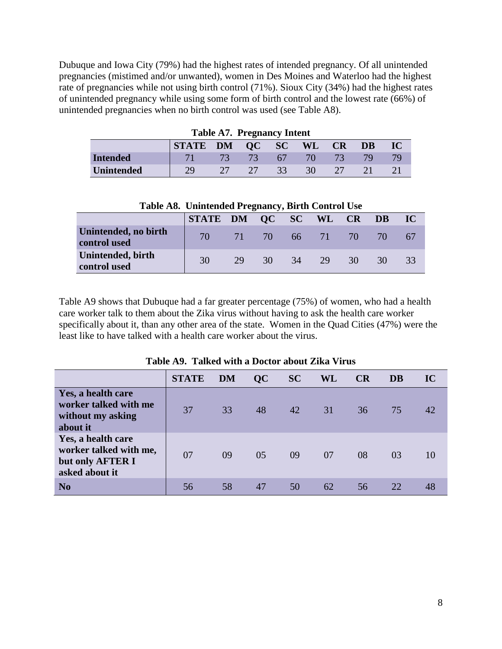Dubuque and Iowa City (79%) had the highest rates of intended pregnancy. Of all unintended pregnancies (mistimed and/or unwanted), women in Des Moines and Waterloo had the highest rate of pregnancies while not using birth control (71%). Sioux City (34%) had the highest rates of unintended pregnancy while using some form of birth control and the lowest rate (66%) of unintended pregnancies when no birth control was used (see Table A8).

| Table A7. Pregnancy Intent |                             |       |        |       |                                          |       |           |          |  |  |
|----------------------------|-----------------------------|-------|--------|-------|------------------------------------------|-------|-----------|----------|--|--|
|                            | <b>STATE DM OC SC WL CR</b> |       |        |       |                                          |       | <b>DB</b> | $\bf IC$ |  |  |
| <b>Intended</b>            | <b>71</b>                   | $-73$ | $-73-$ | $-67$ | $\blacktriangle$ 70 $\blacktriangledown$ | $-73$ | 797       | -79      |  |  |
| <b>Unintended</b>          | 29                          |       |        | $-33$ | $-30$                                    | $-27$ | 21        |          |  |  |

| Table A8. Unintended Pregnancy, Birth Control Use |                            |    |  |  |                      |  |           |      |  |  |  |
|---------------------------------------------------|----------------------------|----|--|--|----------------------|--|-----------|------|--|--|--|
|                                                   | STATE DM QC SC WL CR DB IC |    |  |  |                      |  |           |      |  |  |  |
| Unintended, no birth<br>control used              |                            |    |  |  | 70 71 70 66 71 70 70 |  |           | - 67 |  |  |  |
| Unintended, birth<br>control used                 | 30 <sup>7</sup>            | 29 |  |  | 30 34 29 30          |  | $\sim$ 30 | 33   |  |  |  |

Table A9 shows that Dubuque had a far greater percentage (75%) of women, who had a health care worker talk to them about the Zika virus without having to ask the health care worker specifically about it, than any other area of the state. Women in the Quad Cities (47%) were the least like to have talked with a health care worker about the virus.

|                                                                                    | <b>STATE</b> | <b>DM</b> | QC | <b>SC</b> | WL | CR | <b>DB</b> | IC |
|------------------------------------------------------------------------------------|--------------|-----------|----|-----------|----|----|-----------|----|
| Yes, a health care<br>worker talked with me<br>without my asking<br>about it       | 37           | 33        | 48 | 42        | 31 | 36 | 75        | 42 |
| Yes, a health care<br>worker talked with me,<br>but only AFTER I<br>asked about it | 07           | 09        | 05 | 09        | 07 | 08 | 03        | 10 |
| N <sub>0</sub>                                                                     | 56           | 58        | 47 | 50        | 62 | 56 | 22        |    |

**Table A9. Talked with a Doctor about Zika Virus**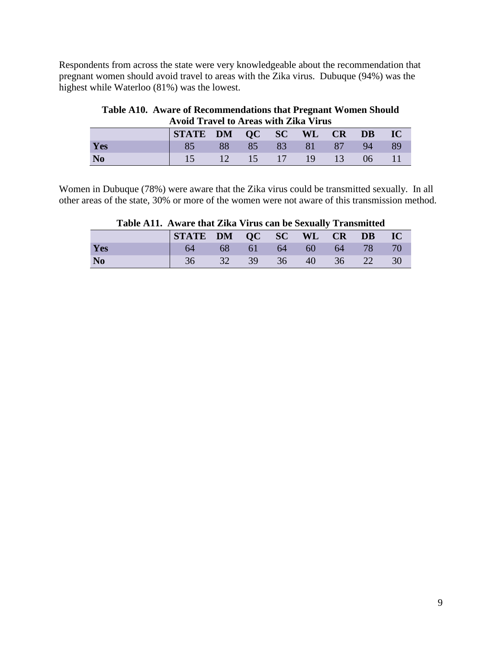Respondents from across the state were very knowledgeable about the recommendation that pregnant women should avoid travel to areas with the Zika virus. Dubuque (94%) was the highest while Waterloo (81%) was the lowest.

| Avoid Travel to Areas with Zika Virus |                            |    |  |  |                   |  |                 |       |  |  |
|---------------------------------------|----------------------------|----|--|--|-------------------|--|-----------------|-------|--|--|
|                                       | STATE DM QC SC WL CR DB IC |    |  |  |                   |  |                 |       |  |  |
| Yes                                   | 85 <sup>2</sup>            | 88 |  |  | 85 83 81 87       |  | $-94$           | - 89  |  |  |
| N <sub>0</sub>                        |                            |    |  |  | 15 12 15 17 19 13 |  | 06 <sup>7</sup> | $-11$ |  |  |

**Table A10. Aware of Recommendations that Pregnant Women Should Avoid Travel to Areas with Zika Virus** 

Women in Dubuque (78%) were aware that the Zika virus could be transmitted sexually. In all other areas of the state, 30% or more of the women were not aware of this transmission method.

|           | STATE DM QC SC WL CR DB IC |  |                      |  |  |
|-----------|----------------------------|--|----------------------|--|--|
| Yes       | 64 P                       |  | 68 61 64 60 64 78 70 |  |  |
| <b>No</b> | 36                         |  | 32 39 36 40 36 22 30 |  |  |

**Table A11. Aware that Zika Virus can be Sexually Transmitted**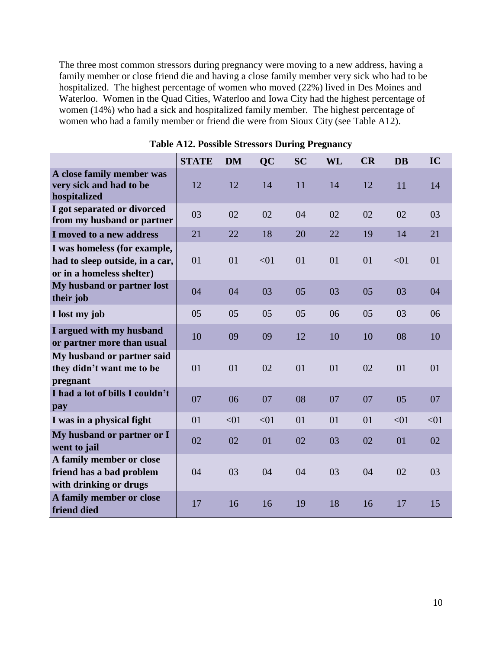The three most common stressors during pregnancy were moving to a new address, having a family member or close friend die and having a close family member very sick who had to be hospitalized. The highest percentage of women who moved (22%) lived in Des Moines and Waterloo. Women in the Quad Cities, Waterloo and Iowa City had the highest percentage of women (14%) who had a sick and hospitalized family member. The highest percentage of women who had a family member or friend die were from Sioux City (see Table A12).

|                                                                                              | <b>STATE</b> | <b>DM</b> | <b>QC</b> | <b>SC</b> | WL | CR | <b>DB</b> | IC   |
|----------------------------------------------------------------------------------------------|--------------|-----------|-----------|-----------|----|----|-----------|------|
| A close family member was<br>very sick and had to be<br>hospitalized                         | 12           | 12        | 14        | 11        | 14 | 12 | 11        | 14   |
| I got separated or divorced<br>from my husband or partner                                    | 03           | 02        | 02        | 04        | 02 | 02 | 02        | 03   |
| I moved to a new address                                                                     | 21           | 22        | 18        | 20        | 22 | 19 | 14        | 21   |
| I was homeless (for example,<br>had to sleep outside, in a car,<br>or in a homeless shelter) | 01           | 01        | < 01      | 01        | 01 | 01 | < 01      | 01   |
| My husband or partner lost<br>their job                                                      | 04           | 04        | 03        | 05        | 03 | 05 | 03        | 04   |
| I lost my job                                                                                | 05           | 05        | 05        | 05        | 06 | 05 | 03        | 06   |
| I argued with my husband<br>or partner more than usual                                       | 10           | 09        | 09        | 12        | 10 | 10 | 08        | 10   |
| My husband or partner said<br>they didn't want me to be<br>pregnant                          | 01           | 01        | 02        | 01        | 01 | 02 | 01        | 01   |
| I had a lot of bills I couldn't<br>pay                                                       | 07           | 06        | 07        | 08        | 07 | 07 | 05        | 07   |
| I was in a physical fight                                                                    | 01           | < 01      | < 01      | 01        | 01 | 01 | < 01      | < 01 |
| My husband or partner or I<br>went to jail                                                   | 02           | 02        | 01        | 02        | 03 | 02 | 01        | 02   |
| A family member or close<br>friend has a bad problem<br>with drinking or drugs               | 04           | 03        | 04        | 04        | 03 | 04 | 02        | 03   |
| A family member or close<br>friend died                                                      | 17           | 16        | 16        | 19        | 18 | 16 | 17        | 15   |

**Table A12. Possible Stressors During Pregnancy**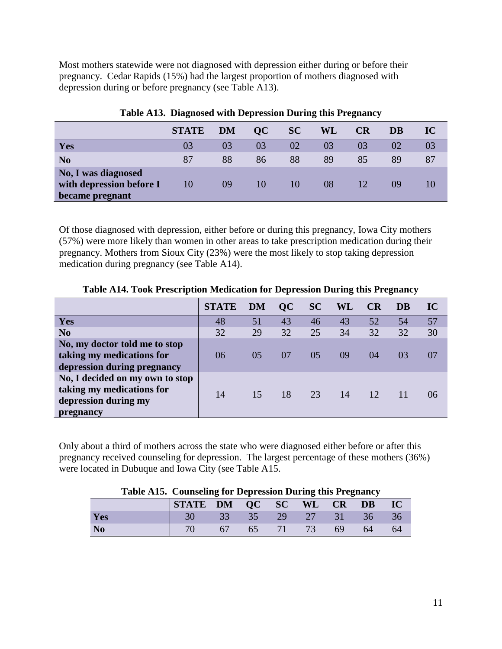Most mothers statewide were not diagnosed with depression either during or before their pregnancy. Cedar Rapids (15%) had the largest proportion of mothers diagnosed with depression during or before pregnancy (see Table A13).

|                                                                    | <b>STATE</b> | <b>DM</b> | OC | <b>SC</b> | WL | CR | DB | IC |
|--------------------------------------------------------------------|--------------|-----------|----|-----------|----|----|----|----|
| Yes                                                                | 03           | 03        | 03 | 02        | 03 | 03 | 02 |    |
| N <sub>0</sub>                                                     | 87           | 88        | 86 | 88        | 89 | 85 | 89 | 87 |
| No, I was diagnosed<br>with depression before I<br>became pregnant | 10           | 09        | 10 | 10        | 08 |    | 09 | 10 |

**Table A13. Diagnosed with Depression During this Pregnancy**

Of those diagnosed with depression, either before or during this pregnancy, Iowa City mothers (57%) were more likely than women in other areas to take prescription medication during their pregnancy. Mothers from Sioux City (23%) were the most likely to stop taking depression medication during pregnancy (see Table A14).

|                                                                                                   | <b>STATE</b> | DM | $\overline{\text{OC}}$ | <b>SC</b> | WL | <b>CR</b> | <b>DB</b> | IC |
|---------------------------------------------------------------------------------------------------|--------------|----|------------------------|-----------|----|-----------|-----------|----|
| <b>Yes</b>                                                                                        | 48           | 51 | 43                     | 46        | 43 | 52        | 54        | 57 |
| N <sub>0</sub>                                                                                    | 32           | 29 | 32                     | 25        | 34 | 32        | 32        | 30 |
| No, my doctor told me to stop<br>taking my medications for<br>depression during pregnancy         | 06           | 05 | 07                     | 05        | 09 | 04        | 03        | 07 |
| No, I decided on my own to stop<br>taking my medications for<br>depression during my<br>pregnancy | 14           | 15 | 18                     | 23        | 14 | 12        | 11        | 06 |

**Table A14. Took Prescription Medication for Depression During this Pregnancy** 

Only about a third of mothers across the state who were diagnosed either before or after this pregnancy received counseling for depression. The largest percentage of these mothers (36%) were located in Dubuque and Iowa City (see Table A15.

| Table A15. Counseling for Depression During this Pregnancy |                         |       |  |          |             |     |       |           |  |
|------------------------------------------------------------|-------------------------|-------|--|----------|-------------|-----|-------|-----------|--|
|                                                            | STATE DM QC SC WL CR DB |       |  |          |             |     |       | <b>IC</b> |  |
| Yes                                                        | 30 F                    | $-33$ |  |          | 35 29 27 31 |     | $-36$ | 36        |  |
| N <sub>0</sub>                                             | 70 I                    | $-67$ |  | 65 71 73 |             | -69 | 64    | 64        |  |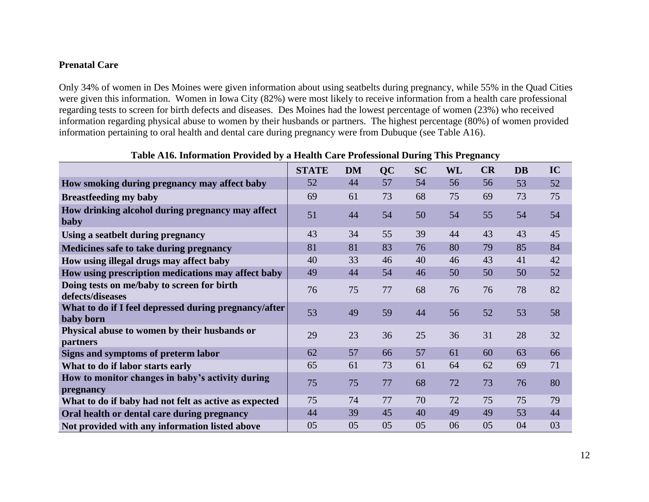# **Prenatal Care**

Only 34% of women in Des Moines were given information about using seatbelts during pregnancy, while 55% in the Quad Cities were given this information. Women in Iowa City (82%) were most likely to receive information from a health care professional regarding tests to screen for birth defects and diseases. Des Moines had the lowest percentage of women (23%) who received information regarding physical abuse to women by their husbands or partners. The highest percentage (80%) of women provided information pertaining to oral health and dental care during pregnancy were from Dubuque (see Table A16).

|                                                                    | <b>STATE</b> | <b>DM</b> | <b>QC</b> | <b>SC</b> | WL | <b>CR</b> | <b>DB</b> | IC |
|--------------------------------------------------------------------|--------------|-----------|-----------|-----------|----|-----------|-----------|----|
| How smoking during pregnancy may affect baby                       | 52           | 44        | 57        | 54        | 56 | 56        | 53        | 52 |
| <b>Breastfeeding my baby</b>                                       | 69           | 61        | 73        | 68        | 75 | 69        | 73        | 75 |
| How drinking alcohol during pregnancy may affect<br>baby           | 51           | 44        | 54        | 50        | 54 | 55        | 54        | 54 |
| Using a seatbelt during pregnancy                                  | 43           | 34        | 55        | 39        | 44 | 43        | 43        | 45 |
| Medicines safe to take during pregnancy                            | 81           | 81        | 83        | 76        | 80 | 79        | 85        | 84 |
| How using illegal drugs may affect baby                            | 40           | 33        | 46        | 40        | 46 | 43        | 41        | 42 |
| How using prescription medications may affect baby                 | 49           | 44        | 54        | 46        | 50 | 50        | 50        | 52 |
| Doing tests on me/baby to screen for birth<br>defects/diseases     | 76           | 75        | 77        | 68        | 76 | 76        | 78        | 82 |
| What to do if I feel depressed during pregnancy/after<br>baby born | 53           | 49        | 59        | 44        | 56 | 52        | 53        | 58 |
| Physical abuse to women by their husbands or<br>partners           | 29           | 23        | 36        | 25        | 36 | 31        | 28        | 32 |
| Signs and symptoms of preterm labor                                | 62           | 57        | 66        | 57        | 61 | 60        | 63        | 66 |
| What to do if labor starts early                                   | 65           | 61        | 73        | 61        | 64 | 62        | 69        | 71 |
| How to monitor changes in baby's activity during<br>pregnancy      | 75           | 75        | 77        | 68        | 72 | 73        | 76        | 80 |
| What to do if baby had not felt as active as expected              | 75           | 74        | 77        | 70        | 72 | 75        | 75        | 79 |
| Oral health or dental care during pregnancy                        | 44           | 39        | 45        | 40        | 49 | 49        | 53        | 44 |
| Not provided with any information listed above                     | 05           | 05        | 05        | 05        | 06 | 05        | 04        | 03 |

**Table A16. Information Provided by a Health Care Professional During This Pregnancy**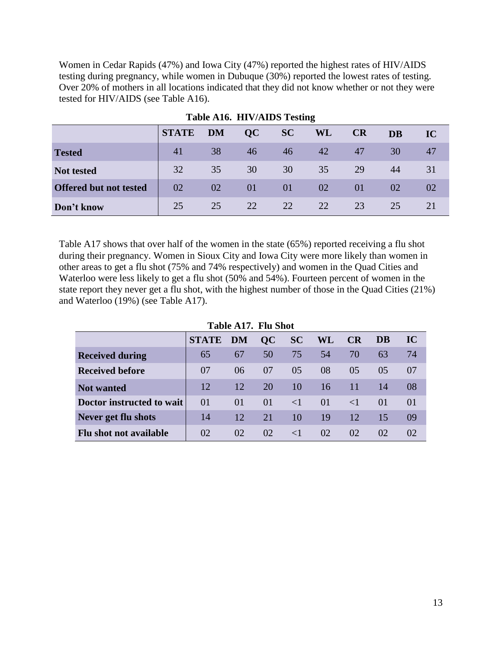Women in Cedar Rapids (47%) and Iowa City (47%) reported the highest rates of HIV/AIDS testing during pregnancy, while women in Dubuque (30%) reported the lowest rates of testing. Over 20% of mothers in all locations indicated that they did not know whether or not they were tested for HIV/AIDS (see Table A16).

| Table Alv. III (Albo Testing  |              |           |    |           |    |           |           |    |  |
|-------------------------------|--------------|-----------|----|-----------|----|-----------|-----------|----|--|
|                               | <b>STATE</b> | <b>DM</b> | OC | <b>SC</b> | WL | <b>CR</b> | <b>DB</b> | IC |  |
| <b>Tested</b>                 | 41           | 38        | 46 | 46        | 42 | 47        | 30        | 47 |  |
| <b>Not tested</b>             | 32           | 35        | 30 | 30        | 35 | 29        | 44        | 31 |  |
| <b>Offered but not tested</b> | 02           | 02        | 01 | 01        | 02 | 01        | 02        | 02 |  |
| Don't know                    | 25           | 25        | 22 | 22        | 22 | 23        | 25        | 21 |  |

|  | <b>Table A16. HIV/AIDS Testing</b> |  |
|--|------------------------------------|--|
|--|------------------------------------|--|

Table A17 shows that over half of the women in the state (65%) reported receiving a flu shot during their pregnancy. Women in Sioux City and Iowa City were more likely than women in other areas to get a flu shot (75% and 74% respectively) and women in the Quad Cities and Waterloo were less likely to get a flu shot (50% and 54%). Fourteen percent of women in the state report they never get a flu shot, with the highest number of those in the Quad Cities (21%) and Waterloo (19%) (see Table A17).

| <b>Table A17. Flu Shot</b> |  |  |
|----------------------------|--|--|
|----------------------------|--|--|

|                           | <b>STATE</b> | DM       | QC  | <b>SC</b>   | WL       | <b>CR</b>   | DB             | IC       |
|---------------------------|--------------|----------|-----|-------------|----------|-------------|----------------|----------|
| <b>Received during</b>    | 65           | 67       | 50  | 75          | 54       | 70          | 63             | 74       |
| <b>Received before</b>    | 07           | 06       | 07  | 05          | 08       | 05          | 0 <sub>5</sub> | 07       |
| <b>Not</b> wanted         | 12           | 12       | 20  | 10          | 16       | 11          | 14             | 08       |
| Doctor instructed to wait | 01           | $\Omega$ | 01  | $\langle$ 1 | $\Omega$ | $\langle$ 1 | $\Omega$       | $\Omega$ |
| Never get flu shots       | 14           | 12       | 2.1 | 10          | 19       | 12          | 15             | 09       |
| Flu shot not available    | 02           | 02       | 02  | $\leq$ 1    | 02       | 02          | $\Omega$       | 02       |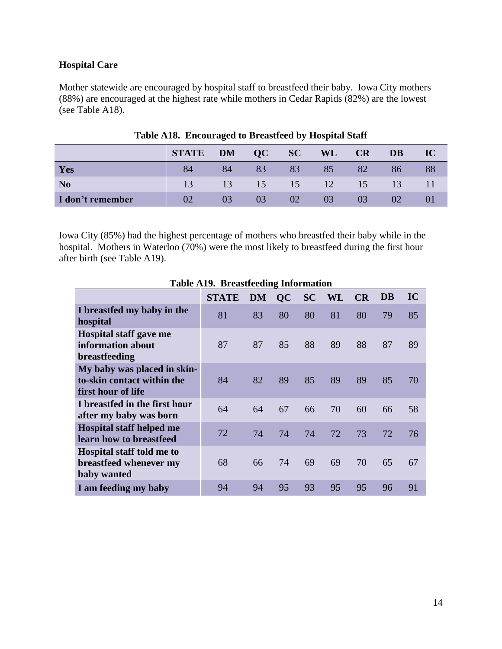# **Hospital Care**

Mother statewide are encouraged by hospital staff to breastfeed their baby. Iowa City mothers (88%) are encouraged at the highest rate while mothers in Cedar Rapids (82%) are the lowest (see Table A18).

|                  | <b>STATE</b> | <b>DM</b> | OC | <b>SC</b> | WL | <b>CR</b> | <b>DB</b> | IC |
|------------------|--------------|-----------|----|-----------|----|-----------|-----------|----|
| Yes              | 84           | 84        | 83 | 83        | 85 | 82        | 86        | 88 |
| N <sub>0</sub>   | 13           |           | 15 | 15        | 12 | 15        | 13        |    |
| I don't remember | 02           | 03        | 03 | 02        | 03 | 03        | 02        |    |

# **Table A18. Encouraged to Breastfeed by Hospital Staff**

Iowa City (85%) had the highest percentage of mothers who breastfed their baby while in the hospital. Mothers in Waterloo (70%) were the most likely to breastfeed during the first hour after birth (see Table A19).

|                                                                                 | <b>STATE</b> | DM | <b>QC</b> | <b>SC</b> | WL | CR | DB. | IC |
|---------------------------------------------------------------------------------|--------------|----|-----------|-----------|----|----|-----|----|
| I breastfed my baby in the<br>hospital                                          | 81           | 83 | 80        | 80        | 81 | 80 | 79  | 85 |
| Hospital staff gave me<br>information about<br>breastfeeding                    | 87           | 87 | 85        | 88        | 89 | 88 | 87  | 89 |
| My baby was placed in skin-<br>to-skin contact within the<br>first hour of life | 84           | 82 | 89        | 85        | 89 | 89 | 85  | 70 |
| I breastfed in the first hour<br>after my baby was born                         | 64           | 64 | 67        | 66        | 70 | 60 | 66  | 58 |
| <b>Hospital staff helped me</b><br>learn how to breastfeed                      | 72           | 74 | 74        | 74        | 72 | 73 | 72  | 76 |
| <b>Hospital staff told me to</b><br>breastfeed whenever my<br>baby wanted       | 68           | 66 | 74        | 69        | 69 | 70 | 65  | 67 |
| I am feeding my baby                                                            | 94           | 94 | 95        | 93        | 95 | 95 | 96  | 91 |

### **Table A19. Breastfeeding Information**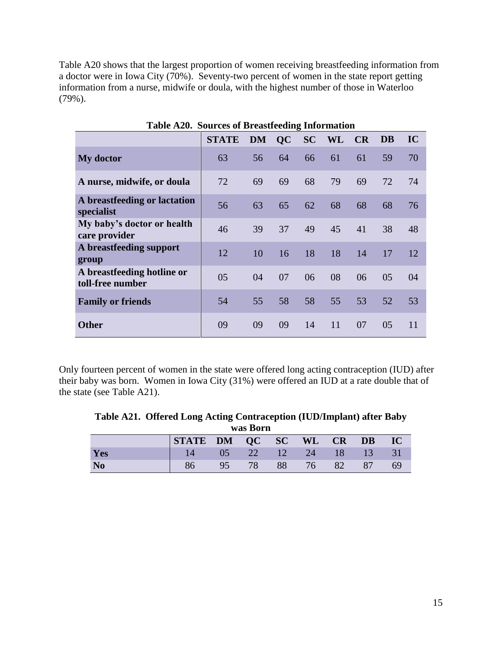Table A20 shows that the largest proportion of women receiving breastfeeding information from a doctor were in Iowa City (70%). Seventy-two percent of women in the state report getting information from a nurse, midwife or doula, with the highest number of those in Waterloo (79%).

| ruole (120). Dources of Breustreaming Information |              |           |           |           |           |           |     |    |
|---------------------------------------------------|--------------|-----------|-----------|-----------|-----------|-----------|-----|----|
|                                                   | <b>STATE</b> | <b>DM</b> | <b>QC</b> | <b>SC</b> | <b>WL</b> | <b>CR</b> | DB  | IC |
| <b>My doctor</b>                                  | 63           | 56        | 64        | 66        | 61        | 61        | 59  | 70 |
| A nurse, midwife, or doula                        | 72           | 69        | 69        | 68        | 79        | 69        | 72  | 74 |
| A breastfeeding or lactation<br>specialist        | 56           | 63        | 65        | 62        | 68        | 68        | 68  | 76 |
| My baby's doctor or health<br>care provider       | 46           | 39        | 37        | 49        | 45        | 41        | 38  | 48 |
| A breastfeeding support<br>group                  | 12           | 10        | 16        | 18        | 18        | 14        | 17  | 12 |
| A breastfeeding hotline or<br>toll-free number    | 05           | 04        | 07        | 06        | 08        | 06        | 05  | 04 |
| <b>Family or friends</b>                          | 54           | 55        | 58        | 58        | 55        | 53        | 52  | 53 |
| <b>Other</b>                                      | 09           | 09        | 09        | 14        | 11        | 07        | 0.5 | 11 |

### **Table A20. Sources of Breastfeeding Information**

Only fourteen percent of women in the state were offered long acting contraception (IUD) after their baby was born. Women in Iowa City (31%) were offered an IUD at a rate double that of the state (see Table A21).

| Table A21. Offered Long Acting Contraception (IUD/Implant) after Baby |
|-----------------------------------------------------------------------|
| was Born                                                              |

|                | STATE DM QC SC |     |             |                                   | WL/       | CR CR  | <b>DB</b> | IC  |  |  |  |
|----------------|----------------|-----|-------------|-----------------------------------|-----------|--------|-----------|-----|--|--|--|
| Yes            | 14             | 0.5 | $\sqrt{22}$ | $\begin{array}{c} 12 \end{array}$ | $\sim 24$ | - 18 - | $\sim$ 13 | -31 |  |  |  |
| N <sub>o</sub> |                |     | 78          | 88                                | 76        | 82     |           | 69  |  |  |  |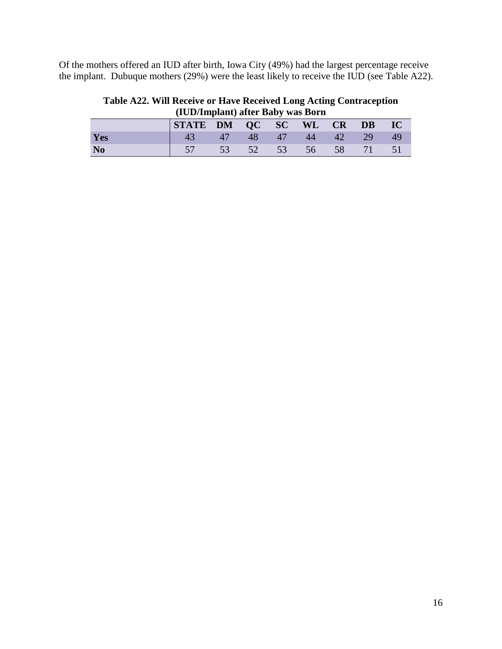Of the mothers offered an IUD after birth, Iowa City (49%) had the largest percentage receive the implant. Dubuque mothers (29%) were the least likely to receive the IUD (see Table A22).

**(IUD/Implant) after Baby was Born STATE DM QC SC WL CR DB IC Yes** 1 43 47 48 47 44 42 29 49

**No**  $\begin{array}{|c|c|c|c|c|} \hline \text{57} & \text{53} & \text{52} & \text{53} & \text{56} & \text{58} & \text{71} & \text{51} \ \hline \end{array}$ 

**Table A22. Will Receive or Have Received Long Acting Contraception**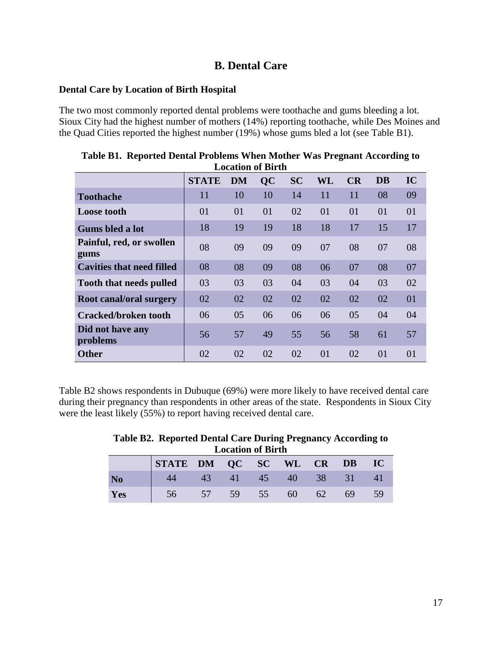# **B. Dental Care**

### **Dental Care by Location of Birth Hospital**

The two most commonly reported dental problems were toothache and gums bleeding a lot. Sioux City had the highest number of mothers (14%) reporting toothache, while Des Moines and the Quad Cities reported the highest number (19%) whose gums bled a lot (see Table B1).

| Lucauvii vi dii ui               |              |           |           |           |    |    |           |    |  |  |  |
|----------------------------------|--------------|-----------|-----------|-----------|----|----|-----------|----|--|--|--|
|                                  | <b>STATE</b> | <b>DM</b> | <b>QC</b> | <b>SC</b> | WL | CR | <b>DB</b> | IC |  |  |  |
| <b>Toothache</b>                 | 11           | 10        | 10        | 14        | 11 | 11 | 08        | 09 |  |  |  |
| <b>Loose tooth</b>               | 01           | 01        | 01        | 02        | 01 | 01 | 01        | 01 |  |  |  |
| <b>Gums bled a lot</b>           | 18           | 19        | 19        | 18        | 18 | 17 | 15        | 17 |  |  |  |
| Painful, red, or swollen<br>gums | 08           | 09        | 09        | 09        | 07 | 08 | 07        | 08 |  |  |  |
| <b>Cavities that need filled</b> | 08           | 08        | 09        | 08        | 06 | 07 | 08        | 07 |  |  |  |
| <b>Tooth that needs pulled</b>   | 03           | 03        | 03        | 04        | 03 | 04 | 03        | 02 |  |  |  |
| Root canal/oral surgery          | 02           | 02        | 02        | 02        | 02 | 02 | 02        | 01 |  |  |  |
| <b>Cracked/broken tooth</b>      | 06           | 05        | 06        | 06        | 06 | 05 | 04        | 04 |  |  |  |
| Did not have any<br>problems     | 56           | 57        | 49        | 55        | 56 | 58 | 61        | 57 |  |  |  |
| <b>Other</b>                     | 02           | 02        | 02        | 02        | 01 | 02 | 01        | 01 |  |  |  |

**Table B1. Reported Dental Problems When Mother Was Pregnant According to Location of Birth**

Table B2 shows respondents in Dubuque (69%) were more likely to have received dental care during their pregnancy than respondents in other areas of the state. Respondents in Sioux City were the least likely (55%) to report having received dental care.

| Table B2. Reported Dental Care During Pregnancy According to |  |
|--------------------------------------------------------------|--|
| <b>Location of Birth</b>                                     |  |

|                | Locauon of Difth     |     |            |     |    |    |     |    |  |  |  |  |
|----------------|----------------------|-----|------------|-----|----|----|-----|----|--|--|--|--|
|                | STATE DM QC SC WL CR |     |            |     |    |    | DB  | IC |  |  |  |  |
| N <sub>0</sub> |                      | 43  | <b>417</b> | 457 | 40 | 38 | -31 |    |  |  |  |  |
| Yes            | 56                   | .57 | 59         | 55  | 60 | 62 | 69  |    |  |  |  |  |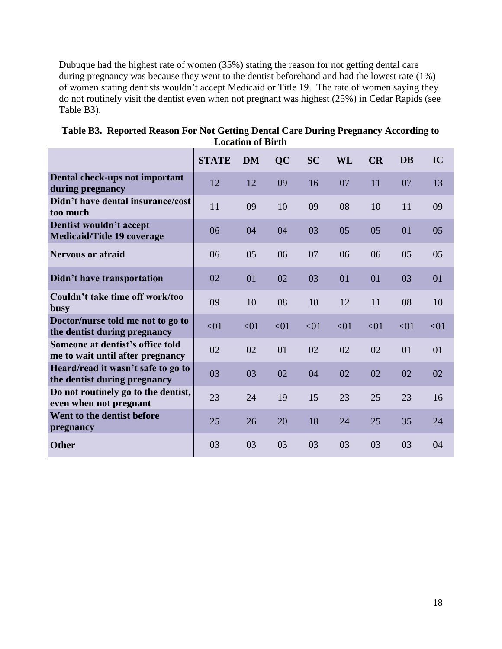Dubuque had the highest rate of women (35%) stating the reason for not getting dental care during pregnancy was because they went to the dentist beforehand and had the lowest rate (1%) of women stating dentists wouldn't accept Medicaid or Title 19. The rate of women saying they do not routinely visit the dentist even when not pregnant was highest (25%) in Cedar Rapids (see Table B3).

| Table B3. Reported Reason For Not Getting Dental Care During Pregnancy According to |
|-------------------------------------------------------------------------------------|
| <b>Location of Birth</b>                                                            |

|                                                                      | <b>STATE</b> | <b>DM</b> | QC   | <b>SC</b> | WL   | CR   | <b>DB</b> | IC   |
|----------------------------------------------------------------------|--------------|-----------|------|-----------|------|------|-----------|------|
| Dental check-ups not important<br>during pregnancy                   | 12           | 12        | 09   | 16        | 07   | 11   | 07        | 13   |
| Didn't have dental insurance/cost<br>too much                        | 11           | 09        | 10   | 09        | 08   | 10   | 11        | 09   |
| Dentist wouldn't accept<br><b>Medicaid/Title 19 coverage</b>         | 06           | 04        | 04   | 03        | 05   | 05   | 01        | 05   |
| <b>Nervous or afraid</b>                                             | 06           | 05        | 06   | 07        | 06   | 06   | 05        | 05   |
| Didn't have transportation                                           | 02           | 01        | 02   | 03        | 01   | 01   | 03        | 01   |
| Couldn't take time off work/too<br>busy                              | 09           | 10        | 08   | 10        | 12   | 11   | 08        | 10   |
| Doctor/nurse told me not to go to<br>the dentist during pregnancy    | < 01         | < 01      | < 01 | < 01      | < 01 | < 01 | < 01      | < 01 |
| Someone at dentist's office told<br>me to wait until after pregnancy | 02           | 02        | 01   | 02        | 02   | 02   | 01        | 01   |
| Heard/read it wasn't safe to go to<br>the dentist during pregnancy   | 03           | 03        | 02   | 04        | 02   | 02   | 02        | 02   |
| Do not routinely go to the dentist,<br>even when not pregnant        | 23           | 24        | 19   | 15        | 23   | 25   | 23        | 16   |
| Went to the dentist before<br>pregnancy                              | 25           | 26        | 20   | 18        | 24   | 25   | 35        | 24   |
| <b>Other</b>                                                         | 03           | 03        | 03   | 03        | 03   | 03   | 03        | 04   |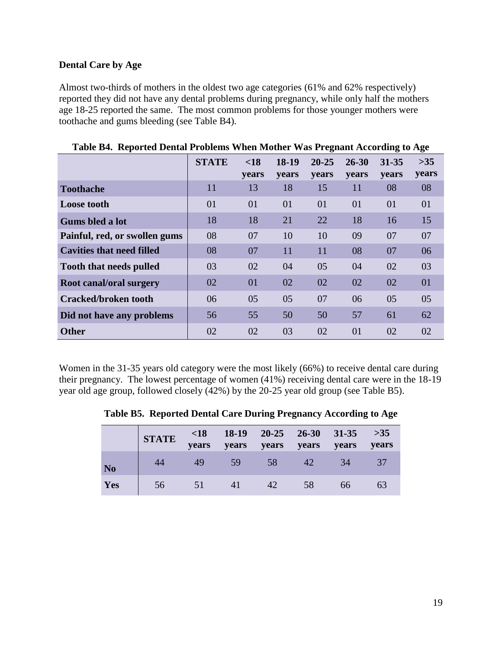# **Dental Care by Age**

Almost two-thirds of mothers in the oldest two age categories (61% and 62% respectively) reported they did not have any dental problems during pregnancy, while only half the mothers age 18-25 reported the same. The most common problems for those younger mothers were toothache and gums bleeding (see Table B4).

|                                  | <b>STATE</b> | < 18<br>years | 18-19<br><b>vears</b> | $20 - 25$<br>years | $26 - 30$<br>years | $31 - 35$<br>years | $>35$<br>years |
|----------------------------------|--------------|---------------|-----------------------|--------------------|--------------------|--------------------|----------------|
| <b>Toothache</b>                 | 11           | 13            | 18                    | 15                 | 11                 | 08                 | 08             |
| <b>Loose tooth</b>               | 01           | 01            | 01                    | 01                 | 01                 | 01                 | 01             |
| Gums bled a lot                  | 18           | 18            | 21                    | 22                 | 18                 | 16                 | 15             |
| Painful, red, or swollen gums    | 08           | 07            | 10                    | 10                 | 09                 | 07                 | 07             |
| <b>Cavities that need filled</b> | 08           | 07            | 11                    | 11                 | 08                 | 07                 | 06             |
| <b>Tooth that needs pulled</b>   | 03           | 02            | 04                    | 05                 | 04                 | 02                 | 03             |
| Root canal/oral surgery          | 02           | 01            | 02                    | 02                 | 02                 | 02                 | 01             |
| <b>Cracked/broken tooth</b>      | 06           | 05            | 05                    | 07                 | 06                 | 05                 | 05             |
| Did not have any problems        | 56           | 55            | 50                    | 50                 | 57                 | 61                 | 62             |
| <b>Other</b>                     | 02           | 02            | 03                    | 02                 | 01                 | 02                 | 02             |

**Table B4. Reported Dental Problems When Mother Was Pregnant According to Age**

Women in the 31-35 years old category were the most likely (66%) to receive dental care during their pregnancy. The lowest percentage of women (41%) receiving dental care were in the 18-19 year old age group, followed closely (42%) by the 20-25 year old group (see Table B5).

|  |  |  | Table B5. Reported Dental Care During Pregnancy According to Age |  |
|--|--|--|------------------------------------------------------------------|--|
|  |  |  |                                                                  |  |

|           | <b>STATE</b> | $\leq 18$<br><b>vears</b> | <b>vears</b> | $18-19$ $20-25$ $26-30$<br>years | years | $31-35$<br><b>vears</b> | $>35$<br>years |
|-----------|--------------|---------------------------|--------------|----------------------------------|-------|-------------------------|----------------|
| <b>No</b> | 44           | 49                        | 59           | 58                               | 42    | 34                      | 37             |
| Yes       | 56           | 51                        | 41           | 42                               | 58    | 66                      | 63             |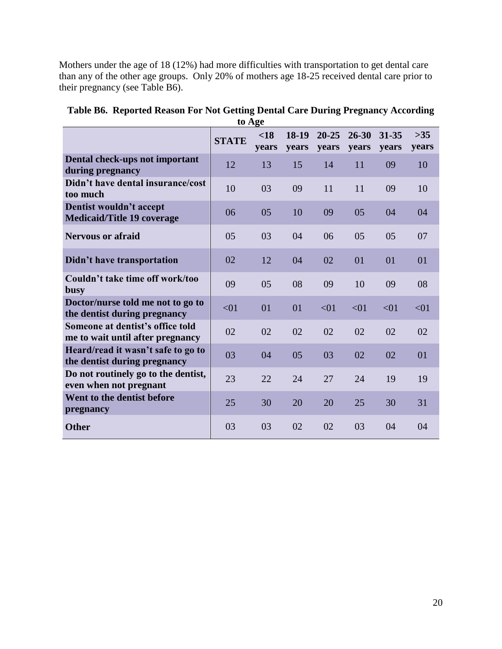Mothers under the age of 18 (12%) had more difficulties with transportation to get dental care than any of the other age groups. Only 20% of mothers age 18-25 received dental care prior to their pregnancy (see Table B6).

|                                                                      | W Agu        |               |                |                    |                    |                    |              |
|----------------------------------------------------------------------|--------------|---------------|----------------|--------------------|--------------------|--------------------|--------------|
|                                                                      | <b>STATE</b> | < 18<br>years | 18-19<br>years | $20 - 25$<br>years | $26 - 30$<br>years | $31 - 35$<br>years | >35<br>years |
| Dental check-ups not important<br>during pregnancy                   | 12           | 13            | 15             | 14                 | 11                 | 09                 | 10           |
| Didn't have dental insurance/cost<br>too much                        | 10           | 03            | 09             | 11                 | 11                 | 09                 | 10           |
| Dentist wouldn't accept<br><b>Medicaid/Title 19 coverage</b>         | 06           | 05            | 10             | 09                 | 05                 | 04                 | 04           |
| <b>Nervous or afraid</b>                                             | 05           | 03            | 04             | 06                 | 05                 | 05                 | 07           |
| Didn't have transportation                                           | 02           | 12            | 04             | 02                 | 01                 | 01                 | 01           |
| Couldn't take time off work/too<br>busy                              | 09           | 05            | 08             | 09                 | 10                 | 09                 | 08           |
| Doctor/nurse told me not to go to<br>the dentist during pregnancy    | < 01         | 01            | 01             | < 01               | < 01               | < 01               | < 01         |
| Someone at dentist's office told<br>me to wait until after pregnancy | 02           | 02            | 02             | 02                 | 02                 | 02                 | 02           |
| Heard/read it wasn't safe to go to<br>the dentist during pregnancy   | 03           | 04            | 05             | 03                 | 02                 | 02                 | 01           |
| Do not routinely go to the dentist,<br>even when not pregnant        | 23           | 22            | 24             | 27                 | 24                 | 19                 | 19           |
| Went to the dentist before<br>pregnancy                              | 25           | 30            | 20             | 20                 | 25                 | 30                 | 31           |
| <b>Other</b>                                                         | 03           | 03            | 02             | 02                 | 03                 | 04                 | 04           |

#### **Table B6. Reported Reason For Not Getting Dental Care During Pregnancy According to Age**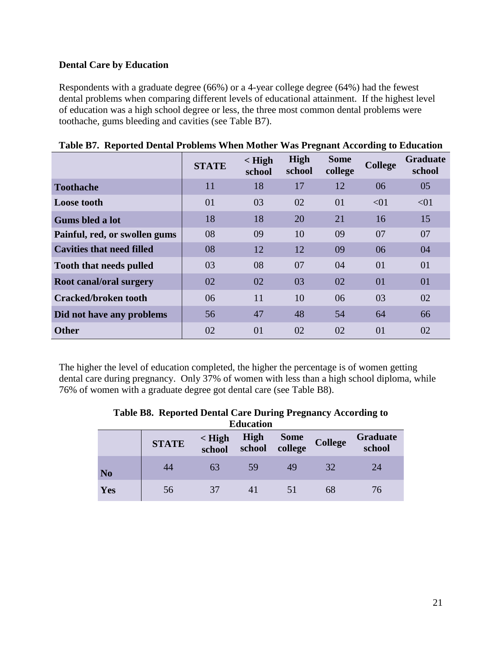# **Dental Care by Education**

Respondents with a graduate degree (66%) or a 4-year college degree (64%) had the fewest dental problems when comparing different levels of educational attainment. If the highest level of education was a high school degree or less, the three most common dental problems were toothache, gums bleeding and cavities (see Table B7).

|                                  | <b>STATE</b> | $\mathbf{H}$ $\mathbf{H}$<br>school | <b>High</b><br>school | <b>Some</b><br>college | <b>College</b> | <b>Graduate</b><br>school |
|----------------------------------|--------------|-------------------------------------|-----------------------|------------------------|----------------|---------------------------|
| <b>Toothache</b>                 | 11           | 18                                  | 17                    | 12                     | 06             | 05                        |
| <b>Loose tooth</b>               | 01           | 03                                  | 02                    | 01                     | < 01           | < 01                      |
| <b>Gums bled a lot</b>           | 18           | 18                                  | 20                    | 21                     | 16             | 15                        |
| Painful, red, or swollen gums    | 08           | 09                                  | 10                    | 09                     | 07             | 07                        |
| <b>Cavities that need filled</b> | 08           | 12                                  | 12                    | 09                     | 06             | 04                        |
| <b>Tooth that needs pulled</b>   | 03           | 08                                  | 07                    | 04                     | 01             | 01                        |
| <b>Root canal/oral surgery</b>   | 02           | 02                                  | 03                    | 02                     | 01             | 01                        |
| <b>Cracked/broken tooth</b>      | 06           | 11                                  | 10                    | 06                     | 03             | 02                        |
| Did not have any problems        | 56           | 47                                  | 48                    | 54                     | 64             | 66                        |
| <b>Other</b>                     | 02           | 01                                  | 02                    | 02                     | 01             | 02                        |

**Table B7. Reported Dental Problems When Mother Was Pregnant According to Education**

The higher the level of education completed, the higher the percentage is of women getting dental care during pregnancy. Only 37% of women with less than a high school diploma, while 76% of women with a graduate degree got dental care (see Table B8).

| Table B8. Reported Dental Care During Pregnancy According to |
|--------------------------------------------------------------|
| <b>Education</b>                                             |
|                                                              |

|                |              |                  | $-10.00$ |                                     |                |                    |
|----------------|--------------|------------------|----------|-------------------------------------|----------------|--------------------|
|                | <b>STATE</b> | < High<br>school |          | <b>High Some<br/>school college</b> | <b>College</b> | Graduate<br>school |
| N <sub>0</sub> |              | 63               | 59       |                                     |                | $2\pi$             |
| Yes            | 56           | 37               |          |                                     |                | 76                 |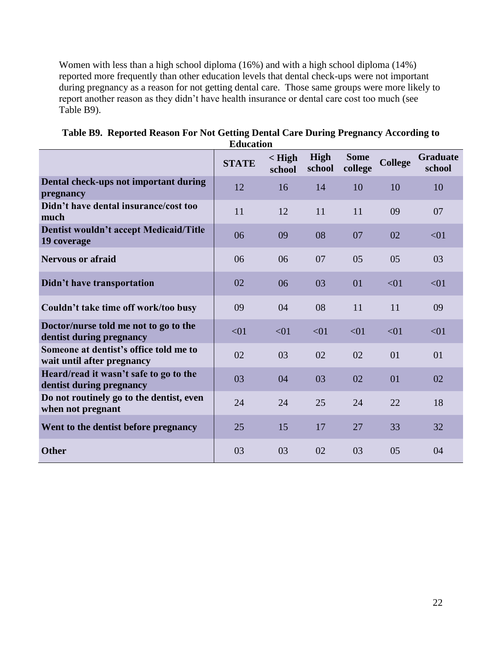Women with less than a high school diploma (16%) and with a high school diploma (14%) reported more frequently than other education levels that dental check-ups were not important during pregnancy as a reason for not getting dental care. Those same groups were more likely to report another reason as they didn't have health insurance or dental care cost too much (see Table B9).

| Table B9. Reported Reason For Not Getting Dental Care During Pregnancy According to |
|-------------------------------------------------------------------------------------|
| <b>Education</b>                                                                    |

|                                                                      | <b>STATE</b> | $\mathbf{H}$ $\mathbf{H}$<br>school | High<br>school | <b>Some</b><br>college | <b>College</b> | <b>Graduate</b><br>school |
|----------------------------------------------------------------------|--------------|-------------------------------------|----------------|------------------------|----------------|---------------------------|
| Dental check-ups not important during<br>pregnancy                   | 12           | 16                                  | 14             | 10                     | 10             | 10                        |
| Didn't have dental insurance/cost too<br>much                        | 11           | 12                                  | 11             | 11                     | 09             | 07                        |
| <b>Dentist wouldn't accept Medicaid/Title</b><br>19 coverage         | 06           | 09                                  | 08             | 07                     | 02             | < 01                      |
| <b>Nervous or afraid</b>                                             | 06           | 06                                  | 07             | 05                     | 05             | 03                        |
| Didn't have transportation                                           | 02           | 06                                  | 03             | 01                     | < 01           | < 01                      |
| Couldn't take time off work/too busy                                 | 09           | 04                                  | 08             | 11                     | 11             | 09                        |
| Doctor/nurse told me not to go to the<br>dentist during pregnancy    | < 01         | < 01                                | < 01           | < 01                   | < 01           | < 01                      |
| Someone at dentist's office told me to<br>wait until after pregnancy | 02           | 03                                  | 02             | 02                     | 01             | 01                        |
| Heard/read it wasn't safe to go to the<br>dentist during pregnancy   | 03           | 04                                  | 03             | 02                     | 01             | 02                        |
| Do not routinely go to the dentist, even<br>when not pregnant        | 24           | 24                                  | 25             | 24                     | 22             | 18                        |
| Went to the dentist before pregnancy                                 | 25           | 15                                  | 17             | 27                     | 33             | 32                        |
| <b>Other</b>                                                         | 03           | 03                                  | 02             | 03                     | 05             | 04                        |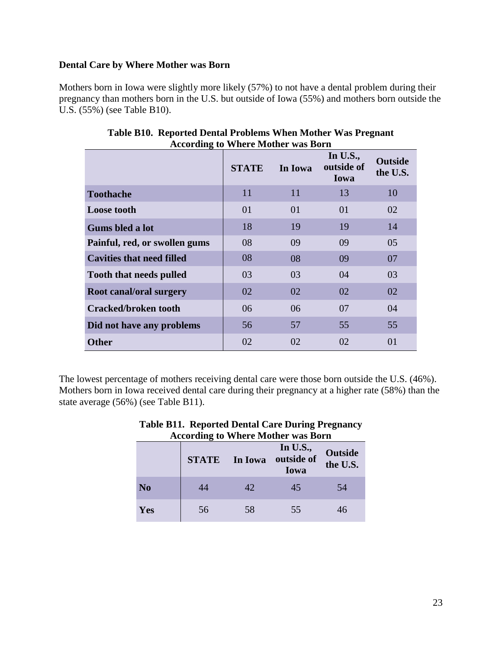### **Dental Care by Where Mother was Born**

Mothers born in Iowa were slightly more likely (57%) to not have a dental problem during their pregnancy than mothers born in the U.S. but outside of Iowa (55%) and mothers born outside the U.S. (55%) (see Table B10).

| o                                | <b>STATE</b> | In Iowa | In U.S.,<br>outside of<br>Iowa | <b>Outside</b><br>the U.S. |
|----------------------------------|--------------|---------|--------------------------------|----------------------------|
| <b>Toothache</b>                 | 11           | 11      | 13                             | 10                         |
| <b>Loose tooth</b>               | 01           | 01      | 01                             | 02                         |
| Gums bled a lot                  | 18           | 19      | 19                             | 14                         |
| Painful, red, or swollen gums    | 08           | 09      | 09                             | 05                         |
| <b>Cavities that need filled</b> | 08           | 08      | 09                             | 07                         |
| <b>Tooth that needs pulled</b>   | 03           | 03      | 04                             | 03                         |
| Root canal/oral surgery          | 02           | 02      | 02                             | 02                         |
| <b>Cracked/broken tooth</b>      | 06           | 06      | 07                             | 04                         |
| Did not have any problems        | 56           | 57      | 55                             | 55                         |
| <b>Other</b>                     | 02           | 02      | 02                             | 01                         |

**Table B10. Reported Dental Problems When Mother Was Pregnant According to Where Mother was Born** 

The lowest percentage of mothers receiving dental care were those born outside the U.S. (46%). Mothers born in Iowa received dental care during their pregnancy at a higher rate (58%) than the state average (56%) (see Table B11).

|                |    | <b>STATE</b> In Iowa | According to where mother was born<br>In U.S.,<br>outside of | <b>Outside</b> |  |
|----------------|----|----------------------|--------------------------------------------------------------|----------------|--|
|                |    |                      | Iowa                                                         | the U.S.       |  |
| N <sub>o</sub> | 44 | 42                   | 45                                                           | 54             |  |
| Yes            | 56 | 58                   | 55                                                           | 46             |  |

# **Table B11. Reported Dental Care During Pregnancy According to Where Mother was Born**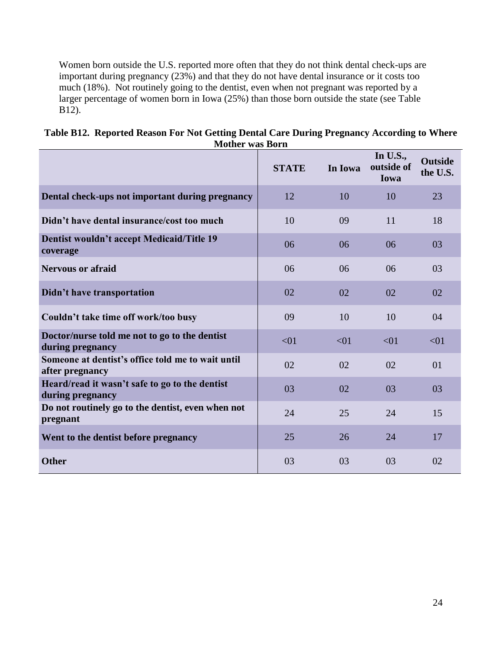Women born outside the U.S. reported more often that they do not think dental check-ups are important during pregnancy (23%) and that they do not have dental insurance or it costs too much (18%). Not routinely going to the dentist, even when not pregnant was reported by a larger percentage of women born in Iowa (25%) than those born outside the state (see Table  $B12$ ).

| Table B12. Reported Reason For Not Getting Dental Care During Pregnancy According to Where |  |
|--------------------------------------------------------------------------------------------|--|
| <b>Mother was Born</b>                                                                     |  |

|                                                                      | <b>STATE</b> | In Iowa | In U.S.,<br>outside of<br>Iowa | <b>Outside</b><br>the U.S. |
|----------------------------------------------------------------------|--------------|---------|--------------------------------|----------------------------|
| Dental check-ups not important during pregnancy                      | 12           | 10      | 10                             | 23                         |
| Didn't have dental insurance/cost too much                           | 10           | 09      | 11                             | 18                         |
| <b>Dentist wouldn't accept Medicaid/Title 19</b><br>coverage         | 06           | 06      | 06                             | 03                         |
| <b>Nervous or afraid</b>                                             | 06           | 06      | 06                             | 03                         |
| Didn't have transportation                                           | 02           | 02      | 02                             | 02                         |
| Couldn't take time off work/too busy                                 | 09           | 10      | 10                             | 04                         |
| Doctor/nurse told me not to go to the dentist<br>during pregnancy    | < 01         | < 01    | < 01                           | < 01                       |
| Someone at dentist's office told me to wait until<br>after pregnancy | 02           | 02      | 02                             | 01                         |
| Heard/read it wasn't safe to go to the dentist<br>during pregnancy   | 03           | 02      | 03                             | 03                         |
| Do not routinely go to the dentist, even when not<br>pregnant        | 24           | 25      | 24                             | 15                         |
| Went to the dentist before pregnancy                                 | 25           | 26      | 24                             | 17                         |
| <b>Other</b>                                                         | 03           | 03      | 03                             | 02                         |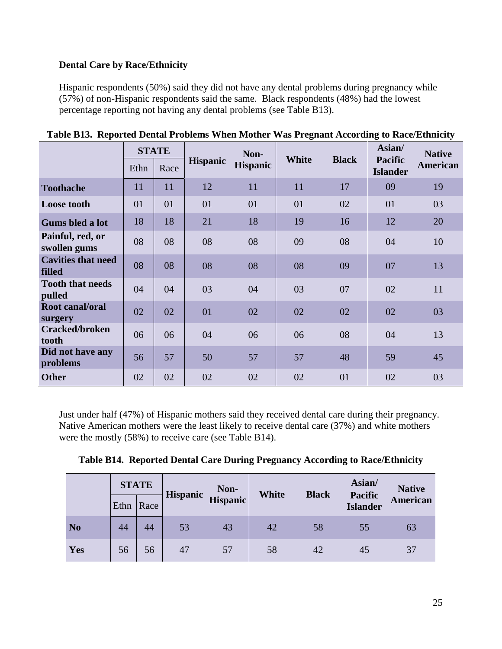# **Dental Care by Race/Ethnicity**

Hispanic respondents (50%) said they did not have any dental problems during pregnancy while (57%) of non-Hispanic respondents said the same. Black respondents (48%) had the lowest percentage reporting not having any dental problems (see Table B13).

|                                     | <b>STATE</b> |      |                 | Non-            |              |              | Asian/                            | <b>Native</b> |
|-------------------------------------|--------------|------|-----------------|-----------------|--------------|--------------|-----------------------------------|---------------|
|                                     | Ethn         | Race | <b>Hispanic</b> | <b>Hispanic</b> | <b>White</b> | <b>Black</b> | <b>Pacific</b><br><b>Islander</b> | American      |
| <b>Toothache</b>                    | 11           | 11   | 12              | 11              | 11           | 17           | 09                                | 19            |
| <b>Loose tooth</b>                  | 01           | 01   | 01              | 01              | 01           | 02           | 01                                | 03            |
| Gums bled a lot                     | 18           | 18   | 21              | 18              | 19           | 16           | 12                                | 20            |
| Painful, red, or<br>swollen gums    | 08           | 08   | 08              | 08              | 09           | 08           | 04                                | 10            |
| <b>Cavities that need</b><br>filled | 08           | 08   | 08              | 08              | 08           | 09           | 07                                | 13            |
| <b>Tooth that needs</b><br>pulled   | 04           | 04   | 03              | 04              | 03           | 07           | 02                                | 11            |
| Root canal/oral<br>surgery          | 02           | 02   | 01              | 02              | 02           | 02           | 02                                | 03            |
| <b>Cracked/broken</b><br>tooth      | 06           | 06   | 04              | 06              | 06           | 08           | 04                                | 13            |
| Did not have any<br>problems        | 56           | 57   | 50              | 57              | 57           | 48           | 59                                | 45            |
| <b>Other</b>                        | 02           | 02   | 02              | 02              | 02           | 01           | 02                                | 03            |

**Table B13. Reported Dental Problems When Mother Was Pregnant According to Race/Ethnicity**

Just under half (47%) of Hispanic mothers said they received dental care during their pregnancy. Native American mothers were the least likely to receive dental care (37%) and white mothers were the mostly (58%) to receive care (see Table B14).

|  |  | Table B14. Reported Dental Care During Pregnancy According to Race/Ethnicity |
|--|--|------------------------------------------------------------------------------|
|  |  |                                                                              |

|           | <b>STATE</b> |      | <b>Hispanic</b> | Non-<br>Hispanic | White |    | Asian/<br><b>Native</b><br><b>Black</b><br><b>Pacific</b> |                 |  |  |  |
|-----------|--------------|------|-----------------|------------------|-------|----|-----------------------------------------------------------|-----------------|--|--|--|
|           | Ethn         | Race |                 |                  |       |    | <b>Islander</b>                                           | <b>American</b> |  |  |  |
| <b>No</b> | 44           | 44   | 53              | 43               | 42    | 58 | 55                                                        | 63              |  |  |  |
| Yes       | 56           | 56   | 47              | 57               | 58    |    | 45                                                        | 37              |  |  |  |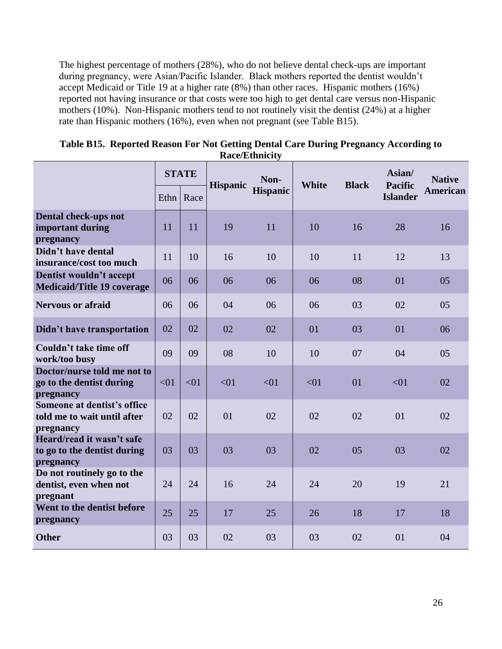The highest percentage of mothers (28%), who do not believe dental check-ups are important during pregnancy, were Asian/Pacific Islander. Black mothers reported the dentist wouldn't accept Medicaid or Title 19 at a higher rate (8%) than other races. Hispanic mothers (16%) reported not having insurance or that costs were too high to get dental care versus non-Hispanic mothers (10%). Non-Hispanic mothers tend to not routinely visit the dentist (24%) at a higher rate than Hispanic mothers (16%), even when not pregnant (see Table B15).

|                                                                         |      |                      |                 | Касе/Енніісцу           |              |              |                                             |                                  |
|-------------------------------------------------------------------------|------|----------------------|-----------------|-------------------------|--------------|--------------|---------------------------------------------|----------------------------------|
|                                                                         | Ethn | <b>STATE</b><br>Race | <b>Hispanic</b> | Non-<br><b>Hispanic</b> | <b>White</b> | <b>Black</b> | Asian/<br><b>Pacific</b><br><b>Islander</b> | <b>Native</b><br><b>American</b> |
| Dental check-ups not<br>important during<br>pregnancy                   | 11   | 11                   | 19              | 11                      | 10           | 16           | 28                                          | 16                               |
| Didn't have dental<br>insurance/cost too much                           | 11   | 10                   | 16              | 10                      | 10           | 11           | 12                                          | 13                               |
| Dentist wouldn't accept<br><b>Medicaid/Title 19 coverage</b>            | 06   | 06                   | 06              | 06                      | 06           | 08           | 01                                          | 05                               |
| <b>Nervous or afraid</b>                                                | 06   | 06                   | 04              | 06                      | 06           | 03           | 02                                          | 0 <sub>5</sub>                   |
| Didn't have transportation                                              | 02   | 02                   | 02              | 02                      | 01           | 03           | 01                                          | 06                               |
| Couldn't take time off<br>work/too busy                                 | 09   | 09                   | 08              | 10                      | 10           | 07           | 04                                          | 05                               |
| Doctor/nurse told me not to<br>go to the dentist during<br>pregnancy    | < 01 | < 01                 | < 01            | < 01                    | < 01         | 01           | < 01                                        | 02                               |
| Someone at dentist's office<br>told me to wait until after<br>pregnancy | 02   | 02                   | 01              | 02                      | 02           | 02           | 01                                          | 02                               |
| Heard/read it wasn't safe<br>to go to the dentist during<br>pregnancy   | 03   | 03                   | 03              | 03                      | 02           | 05           | 03                                          | 02                               |
| Do not routinely go to the<br>dentist, even when not<br>pregnant        | 24   | 24                   | 16              | 24                      | 24           | 20           | 19                                          | 21                               |
| Went to the dentist before<br>pregnancy                                 | 25   | 25                   | 17              | 25                      | 26           | 18           | 17                                          | 18                               |
| <b>Other</b>                                                            | 03   | 03                   | 02              | 03                      | 03           | 02           | 01                                          | 04                               |

| Table B15. Reported Reason For Not Getting Dental Care During Pregnancy According to |
|--------------------------------------------------------------------------------------|
| <b>Race/Ethnicity</b>                                                                |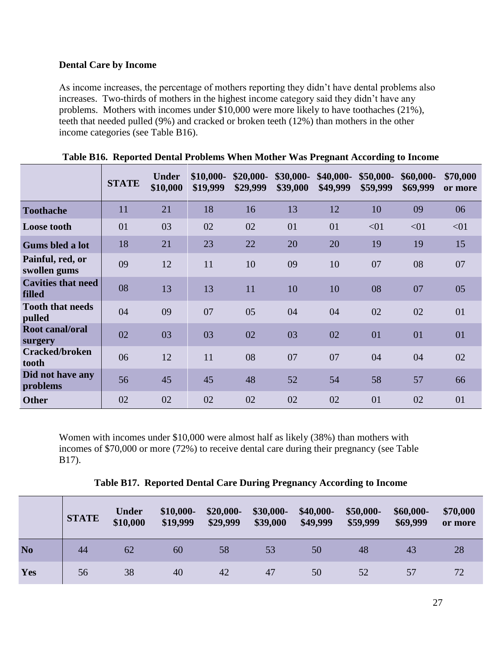# **Dental Care by Income**

As income increases, the percentage of mothers reporting they didn't have dental problems also increases. Two-thirds of mothers in the highest income category said they didn't have any problems. Mothers with incomes under \$10,000 were more likely to have toothaches (21%), teeth that needed pulled (9%) and cracked or broken teeth (12%) than mothers in the other income categories (see Table B16).

|                                     | <b>STATE</b> | <b>Under</b><br>\$10,000 | \$10,000-<br>\$19,999 | $$20,000-$<br>\$29,999 | $$30,000-$<br>\$39,000 | $$40,000-$<br>\$49,999 | \$50,000-<br>\$59,999 | \$60,000-<br>\$69,999 | \$70,000<br>or more |
|-------------------------------------|--------------|--------------------------|-----------------------|------------------------|------------------------|------------------------|-----------------------|-----------------------|---------------------|
| <b>Toothache</b>                    | 11           | 21                       | 18                    | 16                     | 13                     | 12                     | 10                    | 09                    | 06                  |
| <b>Loose tooth</b>                  | 01           | 03                       | 02                    | 02                     | 01                     | 01                     | < 01                  | < 01                  | < 01                |
| Gums bled a lot                     | 18           | 21                       | 23                    | 22                     | 20                     | 20                     | 19                    | 19                    | 15                  |
| Painful, red, or<br>swollen gums    | 09           | 12                       | 11                    | 10                     | 09                     | 10                     | 07                    | 08                    | 07                  |
| <b>Cavities that need</b><br>filled | 08           | 13                       | 13                    | 11                     | 10                     | 10                     | 08                    | 07                    | 05                  |
| <b>Tooth that needs</b><br>pulled   | 04           | 09                       | 07                    | 05                     | 04                     | 04                     | 02                    | 02                    | 01                  |
| Root canal/oral<br>surgery          | 02           | 03                       | 03                    | 02                     | 03                     | 02                     | 01                    | 01                    | 01                  |
| <b>Cracked/broken</b><br>tooth      | 06           | 12                       | 11                    | 08                     | 07                     | 07                     | 04                    | 04                    | 02                  |
| Did not have any<br>problems        | 56           | 45                       | 45                    | 48                     | 52                     | 54                     | 58                    | 57                    | 66                  |
| <b>Other</b>                        | 02           | 02                       | 02                    | 02                     | 02                     | 02                     | 01                    | 02                    | 01                  |

| Table B16. Reported Dental Problems When Mother Was Pregnant According to Income |  |  |  |  |
|----------------------------------------------------------------------------------|--|--|--|--|
|                                                                                  |  |  |  |  |

Women with incomes under \$10,000 were almost half as likely (38%) than mothers with incomes of \$70,000 or more (72%) to receive dental care during their pregnancy (see Table B17).

| Table B17. Reported Dental Care During Pregnancy According to Income |  |  |
|----------------------------------------------------------------------|--|--|
|----------------------------------------------------------------------|--|--|

|                | <b>STATE</b> | <b>Under</b><br>\$10,000 | $$10,000-$<br>\$19,999 | $$20,000-$<br>\$29,999 | $$30,000-$<br>\$39,000 | $$40,000-$<br>\$49,999 | $$50,000-$<br>\$59,999 | $$60,000-$<br>\$69,999 | \$70,000<br>or more |
|----------------|--------------|--------------------------|------------------------|------------------------|------------------------|------------------------|------------------------|------------------------|---------------------|
| N <sub>o</sub> | 44           | 62                       | 60                     | 58                     | 53                     | 50                     | 48                     | 43                     | 28                  |
| Yes            | 56           | 38                       | 40                     | 42                     | 47                     | 50                     | 52                     | 57                     | 72 <sub>2</sub>     |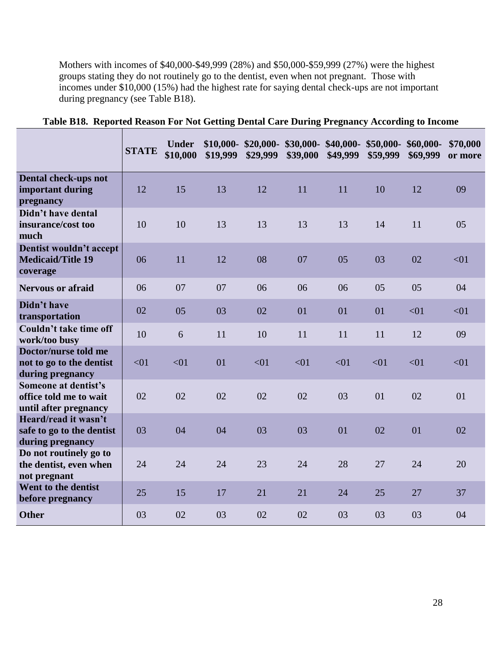Mothers with incomes of \$40,000-\$49,999 (28%) and \$50,000-\$59,999 (27%) were the highest groups stating they do not routinely go to the dentist, even when not pregnant. Those with incomes under \$10,000 (15%) had the highest rate for saying dental check-ups are not important during pregnancy (see Table B18).

|                                                                                | <b>STATE</b> | <b>Under</b><br>\$10,000 | $$10,000-$<br>\$19,999 | $$20,000-$<br>\$29,999 | \$39,000 | $$30,000-$ \$40,000-<br>\$49,999 | $$50,000-$<br>\$59,999 | \$60,000-<br>\$69,999 | \$70,000<br>or more |
|--------------------------------------------------------------------------------|--------------|--------------------------|------------------------|------------------------|----------|----------------------------------|------------------------|-----------------------|---------------------|
| Dental check-ups not<br>important during<br>pregnancy                          | 12           | 15                       | 13                     | 12                     | 11       | 11                               | 10                     | 12                    | 09                  |
| Didn't have dental<br>insurance/cost too<br>much                               | 10           | 10                       | 13                     | 13                     | 13       | 13                               | 14                     | 11                    | 05                  |
| Dentist wouldn't accept<br><b>Medicaid/Title 19</b><br>coverage                | 06           | 11                       | 12                     | 08                     | 07       | 05                               | 03                     | 02                    | < 01                |
| <b>Nervous or afraid</b>                                                       | 06           | 07                       | 07                     | 06                     | 06       | 06                               | 05                     | 05                    | 04                  |
| Didn't have<br>transportation                                                  | 02           | 05                       | 03                     | 02                     | 01       | 01                               | 01                     | < 01                  | < 01                |
| Couldn't take time off<br>work/too busy                                        | 10           | 6                        | 11                     | 10                     | 11       | 11                               | 11                     | 12                    | 09                  |
| Doctor/nurse told me<br>not to go to the dentist<br>during pregnancy           | < 01         | < 01                     | 01                     | < 01                   | < 01     | < 01                             | < 01                   | < 01                  | < 01                |
| <b>Someone at dentist's</b><br>office told me to wait<br>until after pregnancy | 02           | 02                       | 02                     | 02                     | 02       | 03                               | 01                     | 02                    | 01                  |
| Heard/read it wasn't<br>safe to go to the dentist<br>during pregnancy          | 03           | 04                       | 04                     | 03                     | 03       | 01                               | 02                     | 01                    | 02                  |
| Do not routinely go to<br>the dentist, even when<br>not pregnant               | 24           | 24                       | 24                     | 23                     | 24       | 28                               | 27                     | 24                    | 20                  |
| Went to the dentist<br>before pregnancy                                        | 25           | 15                       | 17                     | 21                     | 21       | 24                               | 25                     | 27                    | 37                  |
| <b>Other</b>                                                                   | 03           | 02                       | 03                     | 02                     | 02       | 03                               | 03                     | 03                    | 04                  |

### **Table B18. Reported Reason For Not Getting Dental Care During Pregnancy According to Income**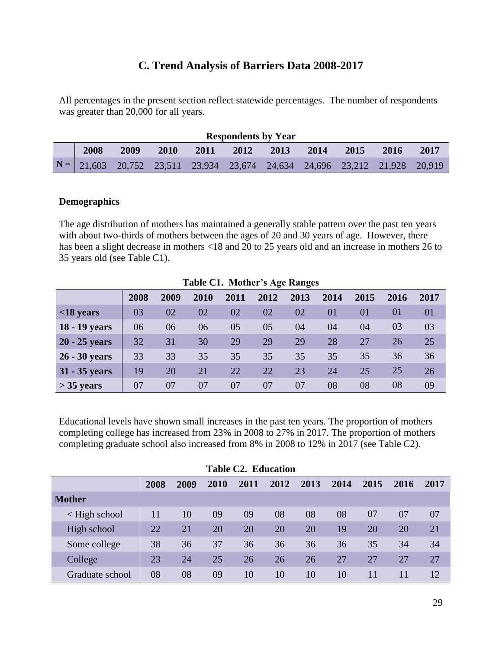# **C. Trend Analysis of Barriers Data 2008-2017**

All percentages in the present section reflect statewide percentages. The number of respondents was greater than 20,000 for all years.

| <b>Respondents by Year</b><br>2008<br>2009<br><b>2010</b><br>2011<br>2013<br>2015<br>2012<br>-2016<br>2014<br>$N =   21,603 \t20,752 \t23,511 \t23,934 \t23,674 \t24,634 \t24,696 \t23,212 \t21,928 \t20,919$ |  |  |  |  |  |  |  |  |      |
|---------------------------------------------------------------------------------------------------------------------------------------------------------------------------------------------------------------|--|--|--|--|--|--|--|--|------|
|                                                                                                                                                                                                               |  |  |  |  |  |  |  |  | 2017 |
|                                                                                                                                                                                                               |  |  |  |  |  |  |  |  |      |

#### **Demographics**

The age distribution of mothers has maintained a generally stable pattern over the past ten years with about two-thirds of mothers between the ages of 20 and 30 years of age. However, there has been a slight decrease in mothers <18 and 20 to 25 years old and an increase in mothers 26 to 35 years old (see Table C1).

|                 | Table C1. Mother's Age Ranges |      |      |      |      |      |      |      |      |      |  |  |  |
|-----------------|-------------------------------|------|------|------|------|------|------|------|------|------|--|--|--|
|                 | 2008                          | 2009 | 2010 | 2011 | 2012 | 2013 | 2014 | 2015 | 2016 | 2017 |  |  |  |
| $<$ 18 years    | 03                            | 02   | 02   | 02   | 02   | 02   | 01   | 01   | 01   | 01   |  |  |  |
| 18 - 19 years   | 06                            | 06   | 06   | 05   | 05   | 04   | 04   | 04   | 03   | 03   |  |  |  |
| $20 - 25$ years | 32                            | 31   | 30   | 29   | 29   | 29   | 28   | 27   | 26   | 25   |  |  |  |
| 26 - 30 years   | 33                            | 33   | 35   | 35   | 35   | 35   | 35   | 35   | 36   | 36   |  |  |  |
| 31 - 35 years   | 19                            | 20   | 21   | 22   | 22   | 23   | 24   | 25   | 25   | 26   |  |  |  |
| $>$ 35 years    | 07                            | 07   | 07   | 07   | 07   | 07   | 08   | 08   | 08   | 09   |  |  |  |

Educational levels have shown small increases in the past ten years. The proportion of mothers completing college has increased from 23% in 2008 to 27% in 2017. The proportion of mothers completing graduate school also increased from 8% in 2008 to 12% in 2017 (see Table C2).

|                    | <b>Table C2. Education</b> |      |      |      |      |      |      |      |      |      |  |  |
|--------------------|----------------------------|------|------|------|------|------|------|------|------|------|--|--|
|                    | 2008                       | 2009 | 2010 | 2011 | 2012 | 2013 | 2014 | 2015 | 2016 | 2017 |  |  |
| <b>Mother</b>      |                            |      |      |      |      |      |      |      |      |      |  |  |
| $\leq$ High school | 11                         | 10   | 09   | 09   | 08   | 08   | 08   | 07   | 07   | 07   |  |  |
| High school        | 22                         | 21   | 20   | 20   | 20   | 20   | 19   | 20   | 20   | 21   |  |  |
| Some college       | 38                         | 36   | 37   | 36   | 36   | 36   | 36   | 35   | 34   | 34   |  |  |
| College            | 23                         | 24   | 25   | 26   | 26   | 26   | 27   | 27   | 27   | 27   |  |  |
| Graduate school    | 08                         | 08   | 09   | 10   | 10   | 10   | 10   | 11   | 11   | 12   |  |  |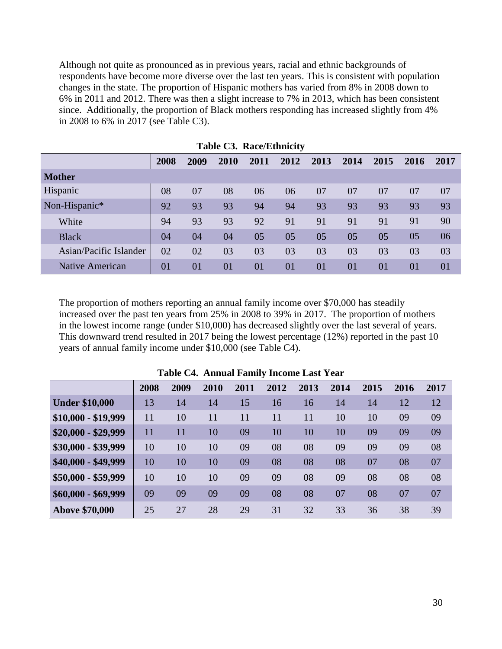Although not quite as pronounced as in previous years, racial and ethnic backgrounds of respondents have become more diverse over the last ten years. This is consistent with population changes in the state. The proportion of Hispanic mothers has varied from 8% in 2008 down to 6% in 2011 and 2012. There was then a slight increase to 7% in 2013, which has been consistent since. Additionally, the proportion of Black mothers responding has increased slightly from 4% in 2008 to 6% in 2017 (see Table C3).

|                        |      |      | Tuble Co. Ruce/Ethnicit |      |      |      |      |      |      |      |
|------------------------|------|------|-------------------------|------|------|------|------|------|------|------|
|                        | 2008 | 2009 | 2010                    | 2011 | 2012 | 2013 | 2014 | 2015 | 2016 | 2017 |
| <b>Mother</b>          |      |      |                         |      |      |      |      |      |      |      |
| Hispanic               | 08   | 07   | 08                      | 06   | 06   | 07   | 07   | 07   | 07   | 07   |
| Non-Hispanic*          | 92   | 93   | 93                      | 94   | 94   | 93   | 93   | 93   | 93   | 93   |
| White                  | 94   | 93   | 93                      | 92   | 91   | 91   | 91   | 91   | 91   | 90   |
| <b>Black</b>           | 04   | 04   | 04                      | 05   | 05   | 05   | 05   | 05   | 05   | 06   |
| Asian/Pacific Islander | 02   | 02   | 03                      | 03   | 03   | 03   | 03   | 03   | 03   | 03   |
| <b>Native American</b> | 01   | 01   | 01                      | 01   | 01   | 01   | 01   | 01   | 01   | 01   |

**Table C3. Race/Ethnicity**

The proportion of mothers reporting an annual family income over \$70,000 has steadily increased over the past ten years from 25% in 2008 to 39% in 2017. The proportion of mothers in the lowest income range (under \$10,000) has decreased slightly over the last several of years. This downward trend resulted in 2017 being the lowest percentage (12%) reported in the past 10 years of annual family income under \$10,000 (see Table C4).

|                       | 2008 | 2009 | 2010 | 2011 | 2012 | 2013 | 2014 | 2015 | 2016 | 2017 |
|-----------------------|------|------|------|------|------|------|------|------|------|------|
| <b>Under \$10,000</b> | 13   | 14   | 14   | 15   | 16   | 16   | 14   | 14   | 12   | 12   |
| $$10,000 - $19,999$   | 11   | 10   | 11   | 11   | 11   | 11   | 10   | 10   | 09   | 09   |
| $$20,000 - $29,999$   | 11   | 11   | 10   | 09   | 10   | 10   | 10   | 09   | 09   | 09   |
| \$30,000 - \$39,999   | 10   | 10   | 10   | 09   | 08   | 08   | 09   | 09   | 09   | 08   |
| \$40,000 - \$49,999   | 10   | 10   | 10   | 09   | 08   | 08   | 08   | 07   | 08   | 07   |
| \$50,000 - \$59,999   | 10   | 10   | 10   | 09   | 09   | 08   | 09   | 08   | 08   | 08   |
| $$60,000 - $69,999$   | 09   | 09   | 09   | 09   | 08   | 08   | 07   | 08   | 07   | 07   |
| <b>Above \$70,000</b> | 25   | 27   | 28   | 29   | 31   | 32   | 33   | 36   | 38   | 39   |

**Table C4. Annual Family Income Last Year**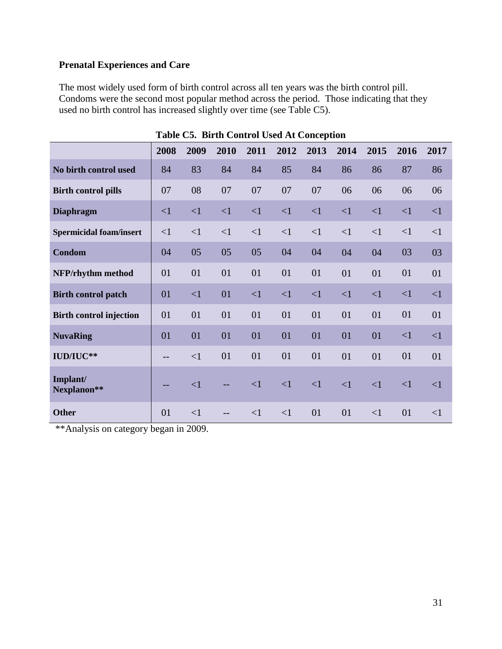# **Prenatal Experiences and Care**

The most widely used form of birth control across all ten years was the birth control pill. Condoms were the second most popular method across the period. Those indicating that they used no birth control has increased slightly over time (see Table C5).

|                                | 2008     | 2009     | 2010     | 2011     | 2012     | 2013     | 2014     | 2015     | 2016     | 2017     |
|--------------------------------|----------|----------|----------|----------|----------|----------|----------|----------|----------|----------|
| No birth control used          | 84       | 83       | 84       | 84       | 85       | 84       | 86       | 86       | 87       | 86       |
| <b>Birth control pills</b>     | 07       | 08       | 07       | 07       | 07       | 07       | 06       | 06       | 06       | 06       |
| <b>Diaphragm</b>               | $\leq$ 1 | $\leq$ 1 | $\leq$ 1 | $\leq$ 1 | $\leq$ 1 | $\leq$ 1 | $\leq$ 1 | $\leq$ 1 | $\leq$ 1 | $\leq$ 1 |
| <b>Spermicidal foam/insert</b> | $\leq$ 1 | $\leq$ 1 | $\leq$ 1 | <1       | <1       | <1       | $\leq$ 1 | $\leq$ 1 | $\leq$ 1 | $\leq$ 1 |
| <b>Condom</b>                  | 04       | 05       | 05       | 05       | 04       | 04       | 04       | 04       | 03       | 03       |
| NFP/rhythm method              | 01       | 01       | 01       | 01       | 01       | 01       | 01       | 01       | 01       | 01       |
| <b>Birth control patch</b>     | 01       | $\leq$ 1 | 01       | $\leq$ 1 | $\leq$ 1 | $\leq$ 1 | $\leq$ 1 | $\leq$ 1 | $\leq$ 1 | $\leq$ 1 |
| <b>Birth control injection</b> | 01       | 01       | 01       | 01       | 01       | 01       | 01       | 01       | 01       | 01       |
| <b>NuvaRing</b>                | 01       | 01       | 01       | 01       | 01       | 01       | 01       | 01       | $\leq$ 1 | $\leq$ 1 |
| IUD/IUC**                      | $- -$    | $\leq$ 1 | 01       | 01       | 01       | 01       | 01       | 01       | 01       | 01       |
| Implant/<br>Nexplanon**        |          | $\leq$ 1 |          | $\leq$ 1 | <1       | $\leq$ 1 | $\leq$ 1 | $\leq$ 1 | $\leq$ 1 | $\leq$ 1 |
| <b>Other</b>                   | 01       | $\leq$ 1 |          | $\leq$ 1 | $\leq$ 1 | 01       | 01       | <1       | 01       | $\leq$ 1 |

**Table C5. Birth Control Used At Conception**

\*\*Analysis on category began in 2009.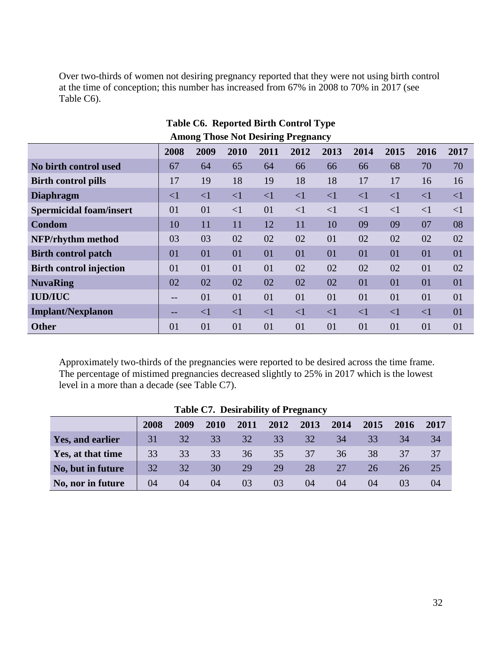Over two-thirds of women not desiring pregnancy reported that they were not using birth control at the time of conception; this number has increased from 67% in 2008 to 70% in 2017 (see Table C6).

|                                | 2008   | 2009     | 2010     | 2011     | 2012     | 2013     | 2014     | 2015     | 2016     | 2017     |
|--------------------------------|--------|----------|----------|----------|----------|----------|----------|----------|----------|----------|
| No birth control used          | 67     | 64       | 65       | 64       | 66       | 66       | 66       | 68       | 70       | 70       |
| <b>Birth control pills</b>     | 17     | 19       | 18       | 19       | 18       | 18       | 17       | 17       | 16       | 16       |
| <b>Diaphragm</b>               | ${<}1$ | $\leq$ 1 | $\leq$ 1 | $\leq$ 1 | $\leq$ 1 | $\leq$ 1 | $\leq$ 1 | $\leq$ 1 | $\leq$ 1 | $\leq$ 1 |
| <b>Spermicidal foam/insert</b> | 01     | 01       | $\leq$ 1 | 01       | <1       | $\leq$ 1 | $\leq$ 1 | $\leq$ 1 | <1       | $\leq$ 1 |
| Condom                         | 10     | 11       | 11       | 12       | 11       | 10       | 09       | 09       | 07       | 08       |
| NFP/rhythm method              | 03     | 03       | 02       | 02       | 02       | 01       | 02       | 02       | 02       | 02       |
| <b>Birth control patch</b>     | 01     | 01       | 01       | 01       | 01       | 01       | 01       | 01       | 01       | 01       |
| <b>Birth control injection</b> | 01     | 01       | 01       | 01       | 02       | 02       | 02       | 02       | 01       | 02       |
| <b>NuvaRing</b>                | 02     | 02       | 02       | 02       | 02       | 02       | 01       | 01       | 01       | 01       |
| <b>IUD/IUC</b>                 | $- -$  | 01       | 01       | 01       | 01       | 01       | 01       | 01       | 01       | 01       |
| <b>Implant/Nexplanon</b>       | $- -$  | $\leq$ 1 | $\leq$ 1 | $\leq$ 1 | $\leq$ 1 | $\leq$ 1 | $\leq$ 1 | $\leq$ 1 | $\leq$ 1 | 01       |
| <b>Other</b>                   | 01     | 01       | 01       | 01       | 01       | 01       | 01       | 01       | 01       | 01       |

# **Table C6. Reported Birth Control Type Among Those Not Desiring Pregnancy**

Approximately two-thirds of the pregnancies were reported to be desired across the time frame. The percentage of mistimed pregnancies decreased slightly to 25% in 2017 which is the lowest level in a more than a decade (see Table C7).

| Table C <sub>1</sub> , Desirability of Freguancy |      |      |      |      |      |      |      |      |      |      |
|--------------------------------------------------|------|------|------|------|------|------|------|------|------|------|
|                                                  | 2008 | 2009 | 2010 | 2011 | 2012 | 2013 | 2014 | 2015 | 2016 | 2017 |
| Yes, and earlier                                 | 31   | 32   | 33   | 32   | 33   | 32   | 34   | 33   | 34   | 34   |
| Yes, at that time                                | 33   | 33   | 33   | 36   | 35   | 37   | 36   | 38   | 37   | 37   |
| No, but in future                                | 32   | 32   | 30   | 29   | 29   | 28   | 27   | 26   | 26   | 25   |
| No, nor in future                                | 04   | 04   | 04   | 03   | 03   | 04   | 04   | 04   | 03   | 04   |

# **Table C7. Desirability of Pregnancy**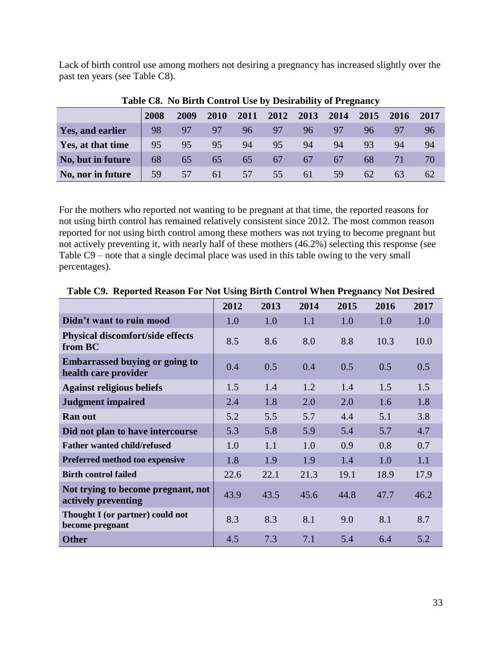Lack of birth control use among mothers not desiring a pregnancy has increased slightly over the past ten years (see Table C8).

| Table Co. To Birth Control Use by Desirability of Pregnancy |      |      |      |      |      |      |      |      |      |      |
|-------------------------------------------------------------|------|------|------|------|------|------|------|------|------|------|
|                                                             | 2008 | 2009 | 2010 | 2011 | 2012 | 2013 | 2014 | 2015 | 2016 | 2017 |
| Yes, and earlier                                            | 98   | 97   | 97   | 96   | 97   | 96   | 97   |      | 97   | 96   |
| Yes, at that time                                           | 95   | 95   | 95   | 94   | 95   | 94   | 94   | 93   | 94   | 94   |
| No, but in future                                           | 68   | 65   | 65   | 65   | 67   | 67   | 67   | 68   |      | 70   |
| No, nor in future                                           | 59   | 57   | 61   | 57   | 55   | 61   | 59   | 62   | 63   | 62   |

**Table C8. No Birth Control Use by Desirability of Pregnancy**

For the mothers who reported not wanting to be pregnant at that time, the reported reasons for not using birth control has remained relatively consistent since 2012. The most common reason reported for not using birth control among these mothers was not trying to become pregnant but not actively preventing it, with nearly half of these mothers (46.2%) selecting this response (see Table C9 – note that a single decimal place was used in this table owing to the very small percentages).

|                                                               | 2012 | 2013 | 2014 | 2015 | 2016 | 2017 |
|---------------------------------------------------------------|------|------|------|------|------|------|
| Didn't want to ruin mood                                      | 1.0  | 1.0  | 1.1  | 1.0  | 1.0  | 1.0  |
| <b>Physical discomfort/side effects</b><br>from BC            | 8.5  | 8.6  | 8.0  | 8.8  | 10.3 | 10.0 |
| <b>Embarrassed buying or going to</b><br>health care provider | 0.4  | 0.5  | 0.4  | 0.5  | 0.5  | 0.5  |
| <b>Against religious beliefs</b>                              | 1.5  | 1.4  | 1.2  | 1.4  | 1.5  | 1.5  |
| <b>Judgment impaired</b>                                      | 2.4  | 1.8  | 2.0  | 2.0  | 1.6  | 1.8  |
| <b>Ran out</b>                                                | 5.2  | 5.5  | 5.7  | 4.4  | 5.1  | 3.8  |
| Did not plan to have intercourse                              | 5.3  | 5.8  | 5.9  | 5.4  | 5.7  | 4.7  |
| <b>Father wanted child/refused</b>                            | 1.0  | 1.1  | 1.0  | 0.9  | 0.8  | 0.7  |
| <b>Preferred method too expensive</b>                         | 1.8  | 1.9  | 1.9  | 1.4  | 1.0  | 1.1  |
| <b>Birth control failed</b>                                   | 22.6 | 22.1 | 21.3 | 19.1 | 18.9 | 17.9 |
| Not trying to become pregnant, not<br>actively preventing     | 43.9 | 43.5 | 45.6 | 44.8 | 47.7 | 46.2 |
| Thought I (or partner) could not<br>become pregnant           | 8.3  | 8.3  | 8.1  | 9.0  | 8.1  | 8.7  |
| <b>Other</b>                                                  | 4.5  | 7.3  | 7.1  | 5.4  | 6.4  | 5.2  |

### **Table C9. Reported Reason For Not Using Birth Control When Pregnancy Not Desired**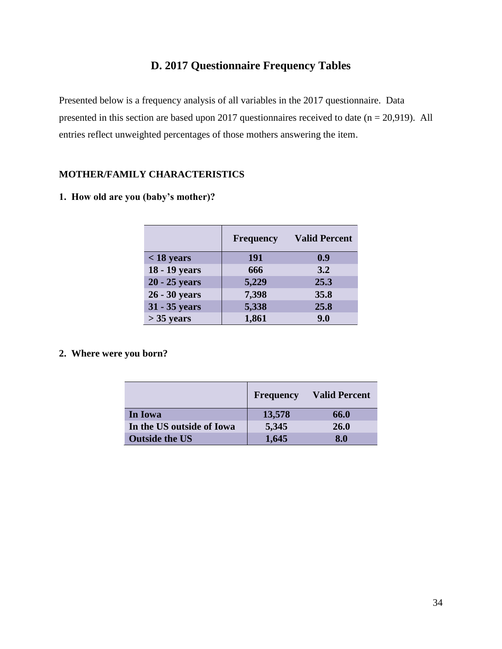# **D. 2017 Questionnaire Frequency Tables**

Presented below is a frequency analysis of all variables in the 2017 questionnaire. Data presented in this section are based upon 2017 questionnaires received to date  $(n = 20,919)$ . All entries reflect unweighted percentages of those mothers answering the item.

### **MOTHER/FAMILY CHARACTERISTICS**

|               | <b>Frequency</b> | <b>Valid Percent</b> |
|---------------|------------------|----------------------|
| $<$ 18 years  | 191              | 0.9                  |
| 18 - 19 years | 666              | 3.2                  |
| 20 - 25 years | 5,229            | 25.3                 |
| 26 - 30 years | 7,398            | 35.8                 |
| 31 - 35 years | 5,338            | 25.8                 |
| $> 35$ years  | 1,861            | 9.0                  |

# **1. How old are you (baby's mother)?**

### **2. Where were you born?**

|                           | <b>Frequency</b> | <b>Valid Percent</b> |
|---------------------------|------------------|----------------------|
| In Iowa                   | 13,578           | 66.0                 |
| In the US outside of Iowa | 5,345            | 26.0                 |
| <b>Outside the US</b>     | 1,645            | 8.0                  |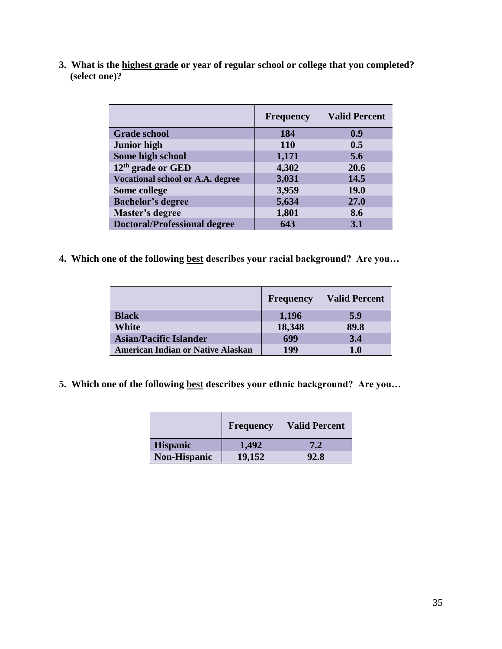**3. What is the highest grade or year of regular school or college that you completed? (select one)?**

|                                         | <b>Frequency</b> | <b>Valid Percent</b> |
|-----------------------------------------|------------------|----------------------|
| <b>Grade school</b>                     | 184              | 0.9                  |
| <b>Junior</b> high                      | <b>110</b>       | 0.5                  |
| Some high school                        | 1,171            | 5.6                  |
| 12 <sup>th</sup> grade or GED           | 4,302            | 20.6                 |
| <b>Vocational school or A.A. degree</b> | 3,031            | 14.5                 |
| Some college                            | 3,959            | <b>19.0</b>          |
| <b>Bachelor's degree</b>                | 5,634            | 27.0                 |
| Master's degree                         | 1,801            | 8.6                  |
| <b>Doctoral/Professional degree</b>     | 643              | 3.1                  |

**4. Which one of the following best describes your racial background? Are you…**

|                                          | <b>Frequency</b> | <b>Valid Percent</b> |
|------------------------------------------|------------------|----------------------|
| <b>Black</b>                             | 1,196            | 5.9                  |
| White                                    | 18,348           | 89.8                 |
| <b>Asian/Pacific Islander</b>            | 699              | 3.4                  |
| <b>American Indian or Native Alaskan</b> | 199              | 1.0                  |

**5. Which one of the following best describes your ethnic background? Are you…**

 $\mathcal{L}_{\mathcal{A}}$ 

|                     | <b>Frequency</b> | <b>Valid Percent</b> |
|---------------------|------------------|----------------------|
| <b>Hispanic</b>     | 1,492            | 7.2                  |
| <b>Non-Hispanic</b> | 19,152           | 92.8                 |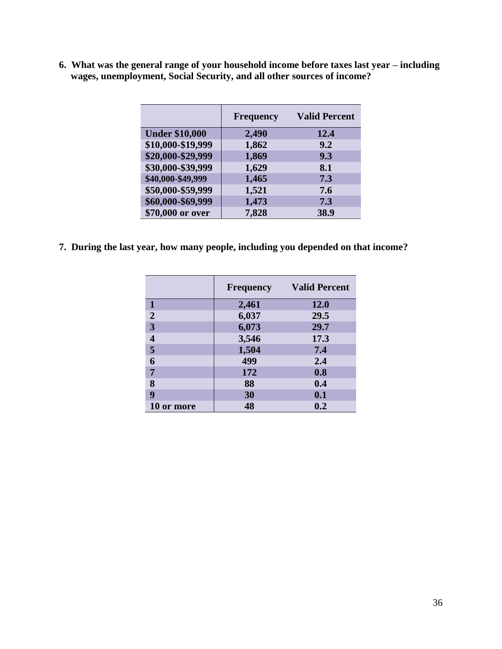|                       | <b>Frequency</b> | <b>Valid Percent</b> |
|-----------------------|------------------|----------------------|
| <b>Under \$10,000</b> | 2,490            | 12.4                 |
| \$10,000-\$19,999     | 1,862            | 9.2                  |
| \$20,000-\$29,999     | 1,869            | 9.3                  |
| \$30,000-\$39,999     | 1,629            | 8.1                  |
| \$40,000-\$49,999     | 1,465            | 7.3                  |
| \$50,000-\$59,999     | 1,521            | 7.6                  |
| \$60,000-\$69,999     | 1,473            | 7.3                  |
| \$70,000 or over      | 7,828            | 38.9                 |

**6. What was the general range of your household income before taxes last year – including wages, unemployment, Social Security, and all other sources of income?**

**7. During the last year, how many people, including you depended on that income?**

|                | <b>Frequency</b> | <b>Valid Percent</b> |
|----------------|------------------|----------------------|
| 1              | 2,461            | 12.0                 |
| $\overline{2}$ | 6,037            | 29.5                 |
| 3              | 6,073            | 29.7                 |
| 4              | 3,546            | 17.3                 |
| 5              | 1,504            | 7.4                  |
| 6              | 499              | 2.4                  |
| 7              | 172              | 0.8                  |
| 8              | 88               | 0.4                  |
| 9              | 30               | 0.1                  |
| 10 or more     | 48               | 0.2                  |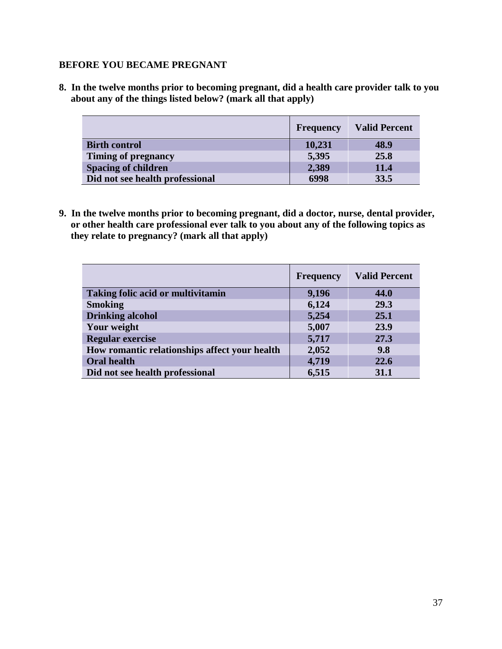# **BEFORE YOU BECAME PREGNANT**

**8. In the twelve months prior to becoming pregnant, did a health care provider talk to you about any of the things listed below? (mark all that apply)**

|                                 | <b>Frequency</b> | <b>Valid Percent</b> |
|---------------------------------|------------------|----------------------|
| <b>Birth control</b>            | 10,231           | 48.9                 |
| Timing of pregnancy             | 5,395            | 25.8                 |
| <b>Spacing of children</b>      | 2,389            | 11.4                 |
| Did not see health professional | 6998             | 33.5                 |

**9. In the twelve months prior to becoming pregnant, did a doctor, nurse, dental provider, or other health care professional ever talk to you about any of the following topics as they relate to pregnancy? (mark all that apply)**

|                                               | <b>Frequency</b> | <b>Valid Percent</b> |
|-----------------------------------------------|------------------|----------------------|
| Taking folic acid or multivitamin             | 9,196            | 44.0                 |
| <b>Smoking</b>                                | 6,124            | 29.3                 |
| <b>Drinking alcohol</b>                       | 5,254            | 25.1                 |
| Your weight                                   | 5,007            | 23.9                 |
| <b>Regular exercise</b>                       | 5,717            | 27.3                 |
| How romantic relationships affect your health | 2,052            | 9.8                  |
| <b>Oral health</b>                            | 4,719            | 22.6                 |
| Did not see health professional               | 6,515            | 31.1                 |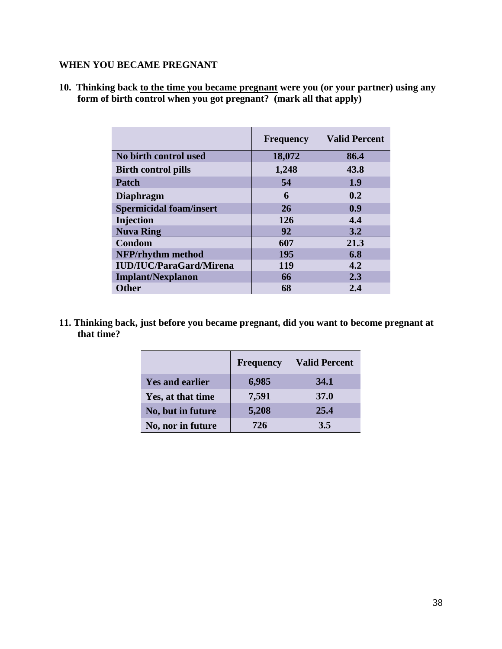# **WHEN YOU BECAME PREGNANT**

**10. Thinking back to the time you became pregnant were you (or your partner) using any form of birth control when you got pregnant? (mark all that apply)**

|                                | <b>Frequency</b> | <b>Valid Percent</b> |
|--------------------------------|------------------|----------------------|
| No birth control used          | 18,072           | 86.4                 |
| <b>Birth control pills</b>     | 1,248            | 43.8                 |
| <b>Patch</b>                   | 54               | 1.9                  |
| <b>Diaphragm</b>               | 6                | 0.2                  |
| <b>Spermicidal foam/insert</b> | <b>26</b>        | 0.9                  |
| Injection                      | 126              | 4.4                  |
| <b>Nuva Ring</b>               | 92               | 3.2                  |
| Condom                         | 607              | 21.3                 |
| <b>NFP/rhythm method</b>       | 195              | 6.8                  |
| <b>IUD/IUC/ParaGard/Mirena</b> | <b>119</b>       | 4.2                  |
| <b>Implant/Nexplanon</b>       | 66               | 2.3                  |
| <b>Other</b>                   | 68               | 2.4                  |

**11. Thinking back, just before you became pregnant, did you want to become pregnant at that time?**

|                        | <b>Frequency</b> | <b>Valid Percent</b> |
|------------------------|------------------|----------------------|
| <b>Yes and earlier</b> | 6,985            | 34.1                 |
| Yes, at that time      | 7,591            | <b>37.0</b>          |
| No, but in future      | 5,208            | 25.4                 |
| No, nor in future      | 726              | 3.5                  |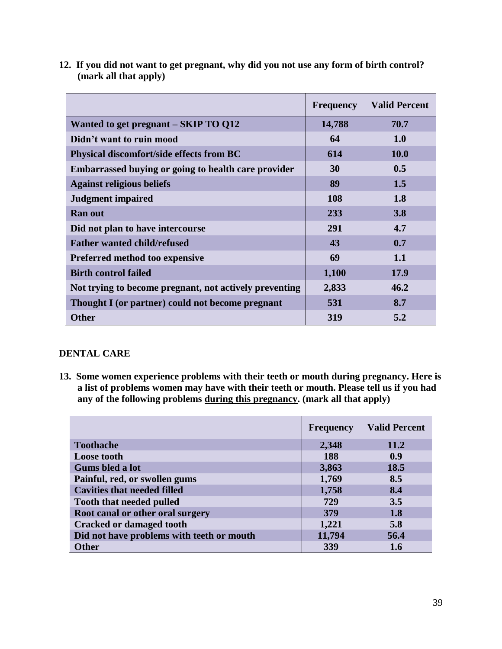**12. If you did not want to get pregnant, why did you not use any form of birth control? (mark all that apply)**

|                                                        | <b>Frequency</b> | <b>Valid Percent</b> |
|--------------------------------------------------------|------------------|----------------------|
| Wanted to get pregnant – SKIP TO Q12                   | 14,788           | 70.7                 |
| Didn't want to ruin mood                               | 64               | 1.0                  |
| <b>Physical discomfort/side effects from BC</b>        | 614              | <b>10.0</b>          |
| Embarrassed buying or going to health care provider    | 30               | 0.5                  |
| <b>Against religious beliefs</b>                       | 89               | 1.5                  |
| <b>Judgment impaired</b>                               | 108              | 1.8                  |
| Ran out                                                | 233              | 3.8                  |
| Did not plan to have intercourse                       | 291              | 4.7                  |
| <b>Father wanted child/refused</b>                     | 43               | 0.7                  |
| <b>Preferred method too expensive</b>                  | 69               | 1.1                  |
| <b>Birth control failed</b>                            | 1,100            | 17.9                 |
| Not trying to become pregnant, not actively preventing | 2,833            | 46.2                 |
| Thought I (or partner) could not become pregnant       | 531              | 8.7                  |
| <b>Other</b>                                           | 319              | 5.2                  |

# **DENTAL CARE**

**13. Some women experience problems with their teeth or mouth during pregnancy. Here is a list of problems women may have with their teeth or mouth. Please tell us if you had any of the following problems during this pregnancy. (mark all that apply)** 

|                                           | <b>Frequency</b> | <b>Valid Percent</b> |
|-------------------------------------------|------------------|----------------------|
| <b>Toothache</b>                          | 2,348            | 11.2                 |
| <b>Loose tooth</b>                        | 188              | 0.9                  |
| Gums bled a lot                           | 3,863            | 18.5                 |
| Painful, red, or swollen gums             | 1,769            | 8.5                  |
| <b>Cavities that needed filled</b>        | 1,758            | 8.4                  |
| <b>Tooth that needed pulled</b>           | 729              | 3.5                  |
| Root canal or other oral surgery          | 379              | 1.8                  |
| <b>Cracked or damaged tooth</b>           | 1,221            | 5.8                  |
| Did not have problems with teeth or mouth | 11,794           | 56.4                 |
| <b>Other</b>                              | 339              | 1.6                  |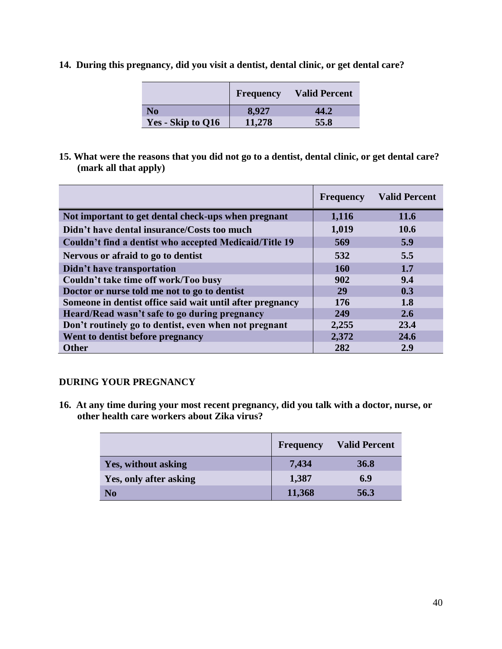|                   | <b>Frequency</b> | <b>Valid Percent</b> |
|-------------------|------------------|----------------------|
| N <sub>0</sub>    | 8.927            | 44.2                 |
| Yes - Skip to Q16 | 11,278           | 55.8                 |

**14. During this pregnancy, did you visit a dentist, dental clinic, or get dental care?**

**15. What were the reasons that you did not go to a dentist, dental clinic, or get dental care? (mark all that apply)**

|                                                           | <b>Frequency</b> | <b>Valid Percent</b> |
|-----------------------------------------------------------|------------------|----------------------|
| Not important to get dental check-ups when pregnant       | 1,116            | 11.6                 |
| Didn't have dental insurance/Costs too much               | 1,019            | 10.6                 |
| Couldn't find a dentist who accepted Medicaid/Title 19    | 569              | 5.9                  |
| Nervous or afraid to go to dentist                        | 532              | 5.5                  |
| Didn't have transportation                                | <b>160</b>       | 1.7                  |
| Couldn't take time off work/Too busy                      | 902              | 9.4                  |
| Doctor or nurse told me not to go to dentist              | 29               | 0.3                  |
| Someone in dentist office said wait until after pregnancy | 176              | 1.8                  |
| Heard/Read wasn't safe to go during pregnancy             | 249              | 2.6                  |
| Don't routinely go to dentist, even when not pregnant     | 2,255            | 23.4                 |
| Went to dentist before pregnancy                          | 2,372            | 24.6                 |
| <b>Other</b>                                              | 282              | 2.9                  |

# **DURING YOUR PREGNANCY**

**16. At any time during your most recent pregnancy, did you talk with a doctor, nurse, or other health care workers about Zika virus?** 

|                        | <b>Frequency</b> | <b>Valid Percent</b> |
|------------------------|------------------|----------------------|
| Yes, without asking    | 7,434            | 36.8                 |
| Yes, only after asking | 1,387            | 6.9                  |
| N <sub>0</sub>         | 11,368           | 56.3                 |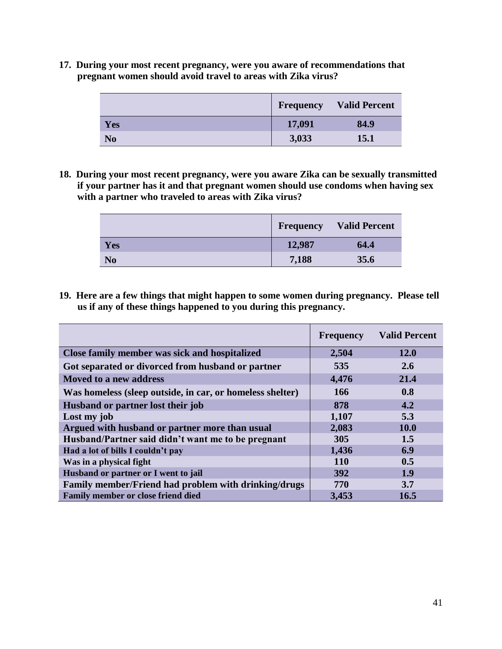**17. During your most recent pregnancy, were you aware of recommendations that pregnant women should avoid travel to areas with Zika virus?** 

|                | Frequency | <b>Valid Percent</b> |
|----------------|-----------|----------------------|
| Yes            | 17,091    | 84.9                 |
| N <sub>0</sub> | 3,033     | 15.1                 |

**18. During your most recent pregnancy, were you aware Zika can be sexually transmitted if your partner has it and that pregnant women should use condoms when having sex with a partner who traveled to areas with Zika virus?** 

|                | <b>Frequency</b> | <b>Valid Percent</b> |
|----------------|------------------|----------------------|
| <b>Yes</b>     | 12,987           | 64.4                 |
| N <sub>0</sub> | 7,188            | 35.6                 |

**19. Here are a few things that might happen to some women during pregnancy. Please tell us if any of these things happened to you during this pregnancy.**

|                                                             | <b>Frequency</b> | <b>Valid Percent</b> |
|-------------------------------------------------------------|------------------|----------------------|
| Close family member was sick and hospitalized               | 2,504            | 12.0                 |
| Got separated or divorced from husband or partner           | 535              | 2.6                  |
| Moved to a new address                                      | 4,476            | 21.4                 |
| Was homeless (sleep outside, in car, or homeless shelter)   | 166              | 0.8                  |
| Husband or partner lost their job                           | 878              | 4.2                  |
| Lost my job                                                 | 1,107            | 5.3                  |
| Argued with husband or partner more than usual              | 2,083            | <b>10.0</b>          |
| Husband/Partner said didn't want me to be pregnant          | 305              | 1.5                  |
| Had a lot of bills I couldn't pay                           | 1,436            | 6.9                  |
| Was in a physical fight                                     | <b>110</b>       | 0.5                  |
| Husband or partner or I went to jail                        | 392              | 1.9                  |
| <b>Family member/Friend had problem with drinking/drugs</b> | 770              | 3.7                  |
| <b>Family member or close friend died</b>                   | 3,453            | 16.5                 |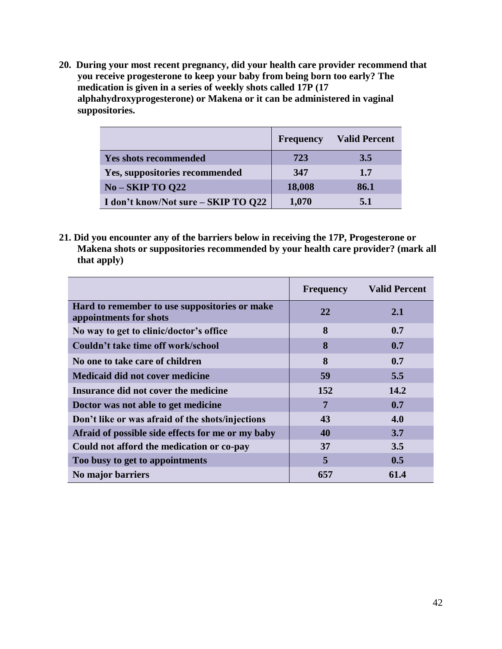**20. During your most recent pregnancy, did your health care provider recommend that you receive progesterone to keep your baby from being born too early? The medication is given in a series of weekly shots called 17P (17 alphahydroxyprogesterone) or Makena or it can be administered in vaginal suppositories.**

|                                     | <b>Frequency</b> | <b>Valid Percent</b> |
|-------------------------------------|------------------|----------------------|
| <b>Yes shots recommended</b>        | 723              | 3.5                  |
| Yes, suppositories recommended      | 347              | 1.7                  |
| $No-SKIP TO$ Q22                    | 18,008           | 86.1                 |
| I don't know/Not sure - SKIP TO 022 | 1,070            | 5.1                  |

**21. Did you encounter any of the barriers below in receiving the 17P, Progesterone or Makena shots or suppositories recommended by your health care provider? (mark all that apply)**

|                                                                         | <b>Frequency</b> | <b>Valid Percent</b> |
|-------------------------------------------------------------------------|------------------|----------------------|
| Hard to remember to use suppositories or make<br>appointments for shots | 22               | 2.1                  |
| No way to get to clinic/doctor's office                                 | 8                | 0.7                  |
| Couldn't take time off work/school                                      | 8                | 0.7                  |
| No one to take care of children                                         | 8                | 0.7                  |
| Medicaid did not cover medicine                                         | 59               | 5.5                  |
| Insurance did not cover the medicine                                    | 152              | 14.2                 |
| Doctor was not able to get medicine                                     | 7                | 0.7                  |
| Don't like or was afraid of the shots/injections                        | 43               | 4.0                  |
| Afraid of possible side effects for me or my baby                       | 40               | 3.7                  |
| Could not afford the medication or co-pay                               | 37               | 3.5                  |
| Too busy to get to appointments                                         | 5                | 0.5                  |
| No major barriers                                                       | 657              | 61.4                 |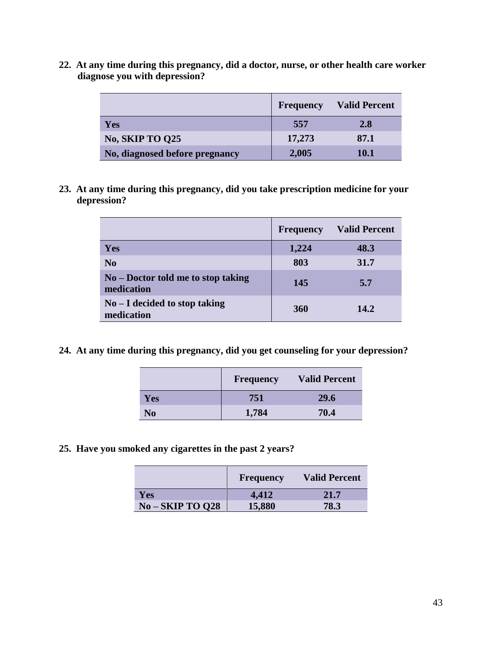**22. At any time during this pregnancy, did a doctor, nurse, or other health care worker diagnose you with depression?** 

|                                | <b>Frequency</b> | <b>Valid Percent</b> |
|--------------------------------|------------------|----------------------|
| <b>Yes</b>                     | 557              | 2.8                  |
| <b>No, SKIP TO Q25</b>         | 17,273           | 87.1                 |
| No, diagnosed before pregnancy | 2,005            | 10.1                 |

**23. At any time during this pregnancy, did you take prescription medicine for your depression?** 

|                                                    | <b>Frequency</b> | <b>Valid Percent</b> |
|----------------------------------------------------|------------------|----------------------|
| Yes                                                | 1,224            | 48.3                 |
| N <sub>0</sub>                                     | 803              | 31.7                 |
| $No - Doctor$ told me to stop taking<br>medication | 145              | 5.7                  |
| $No-I$ decided to stop taking<br>medication        | <b>360</b>       | 14.2                 |

**24. At any time during this pregnancy, did you get counseling for your depression?** 

|     | <b>Frequency</b> | <b>Valid Percent</b> |
|-----|------------------|----------------------|
| Yes | 751              | 29.6                 |
| No  | 1,784            | 70.4                 |

**25. Have you smoked any cigarettes in the past 2 years?**

|                  | Frequency | <b>Valid Percent</b> |
|------------------|-----------|----------------------|
| Yes              | 4,412     | 21.7                 |
| $No-SKIP TO O28$ | 15,880    | 78.3                 |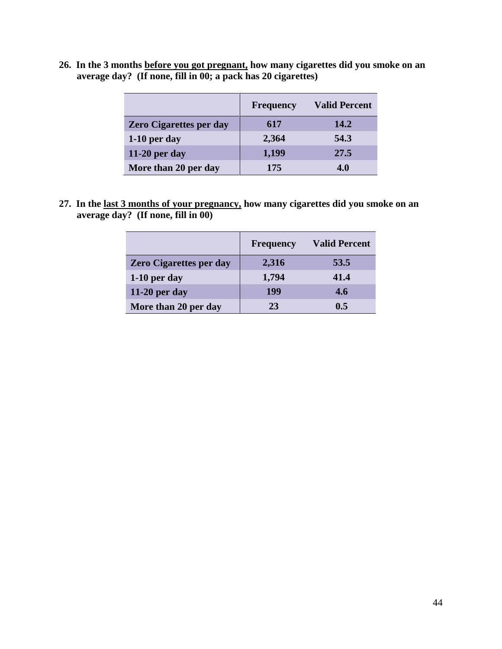| 26. In the 3 months before you got pregnant, how many cigarettes did you smoke on an |
|--------------------------------------------------------------------------------------|
| average day? (If none, fill in 00; a pack has 20 cigarettes)                         |

|                                | <b>Frequency</b> | <b>Valid Percent</b> |
|--------------------------------|------------------|----------------------|
| <b>Zero Cigarettes per day</b> | 617              | 14.2                 |
| $1-10$ per day                 | 2,364            | 54.3                 |
| $11-20$ per day                | 1,199            | 27.5                 |
| More than 20 per day           | 175              | 4.0                  |

**27. In the last 3 months of your pregnancy, how many cigarettes did you smoke on an average day? (If none, fill in 00)**

|                                | <b>Frequency</b> | <b>Valid Percent</b> |
|--------------------------------|------------------|----------------------|
| <b>Zero Cigarettes per day</b> | 2,316            | 53.5                 |
| $1-10$ per day                 | 1,794            | 41.4                 |
| $11-20$ per day                | 199              | 4.6                  |
| More than 20 per day           | 23               | 0.5                  |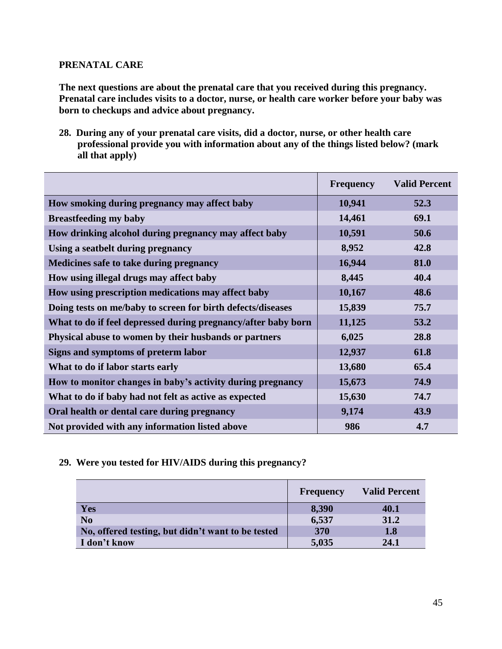### **PRENATAL CARE**

**The next questions are about the prenatal care that you received during this pregnancy. Prenatal care includes visits to a doctor, nurse, or health care worker before your baby was born to checkups and advice about pregnancy.**

**28. During any of your prenatal care visits, did a doctor, nurse, or other health care professional provide you with information about any of the things listed below? (mark all that apply)**

|                                                               | <b>Frequency</b> | <b>Valid Percent</b> |
|---------------------------------------------------------------|------------------|----------------------|
| How smoking during pregnancy may affect baby                  | 10,941           | 52.3                 |
| <b>Breastfeeding my baby</b>                                  | 14,461           | 69.1                 |
| How drinking alcohol during pregnancy may affect baby         | 10,591           | 50.6                 |
| Using a seatbelt during pregnancy                             | 8,952            | 42.8                 |
| <b>Medicines safe to take during pregnancy</b>                | 16,944           | 81.0                 |
| How using illegal drugs may affect baby                       | 8,445            | 40.4                 |
| How using prescription medications may affect baby            | 10,167           | 48.6                 |
| Doing tests on me/baby to screen for birth defects/diseases   | 15,839           | 75.7                 |
| What to do if feel depressed during pregnancy/after baby born | 11,125           | 53.2                 |
| Physical abuse to women by their husbands or partners         | 6,025            | 28.8                 |
| Signs and symptoms of preterm labor                           | 12,937           | 61.8                 |
| What to do if labor starts early                              | 13,680           | 65.4                 |
| How to monitor changes in baby's activity during pregnancy    | 15,673           | 74.9                 |
| What to do if baby had not felt as active as expected         | 15,630           | 74.7                 |
| Oral health or dental care during pregnancy                   | 9,174            | 43.9                 |
| Not provided with any information listed above                | 986              | 4.7                  |

# **29. Were you tested for HIV/AIDS during this pregnancy?**

|                                                   | <b>Frequency</b> | <b>Valid Percent</b> |
|---------------------------------------------------|------------------|----------------------|
| Yes                                               | 8,390            | 40.1                 |
| N <sub>0</sub>                                    | 6,537            | 31.2                 |
| No, offered testing, but didn't want to be tested | 370              | 1.8                  |
| I don't know                                      | 5,035            | 24.1                 |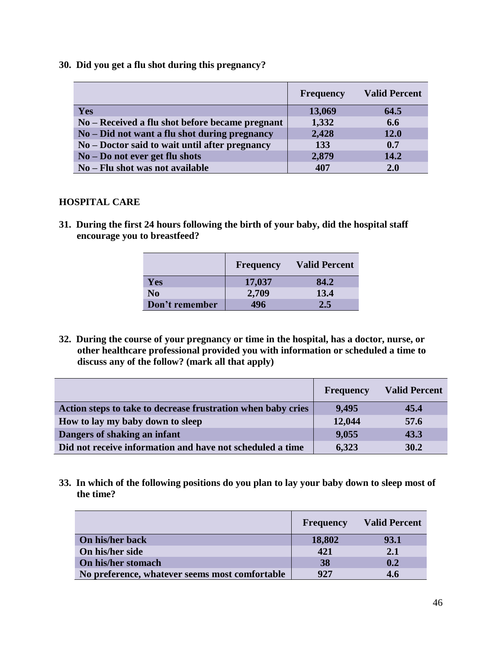**30. Did you get a flu shot during this pregnancy?**

|                                                 | Frequency | <b>Valid Percent</b> |
|-------------------------------------------------|-----------|----------------------|
| Yes                                             | 13,069    | 64.5                 |
| No – Received a flu shot before became pregnant | 1,332     | 6.6                  |
| No – Did not want a flu shot during pregnancy   | 2,428     | 12.0                 |
| No – Doctor said to wait until after pregnancy  | 133       | 0.7                  |
| No – Do not ever get flu shots                  | 2,879     | 14.2                 |
| No - Flu shot was not available                 | 407       | 2.0                  |

### **HOSPITAL CARE**

**31. During the first 24 hours following the birth of your baby, did the hospital staff encourage you to breastfeed?**

|                | <b>Frequency</b> | <b>Valid Percent</b> |
|----------------|------------------|----------------------|
| Yes            | 17,037           | 84.2                 |
| N <sub>0</sub> | 2,709            | 13.4                 |
| Don't remember | 496              | 2.5                  |

**32. During the course of your pregnancy or time in the hospital, has a doctor, nurse, or other healthcare professional provided you with information or scheduled a time to discuss any of the follow? (mark all that apply)**

|                                                              | Frequency | <b>Valid Percent</b> |
|--------------------------------------------------------------|-----------|----------------------|
| Action steps to take to decrease frustration when baby cries | 9,495     | 45.4                 |
| How to lay my baby down to sleep                             | 12,044    | 57.6                 |
| Dangers of shaking an infant                                 | 9,055     | 43.3                 |
| Did not receive information and have not scheduled a time    | 6,323     | 30.2                 |

**33. In which of the following positions do you plan to lay your baby down to sleep most of the time?**

|                                                | <b>Frequency</b> | <b>Valid Percent</b> |
|------------------------------------------------|------------------|----------------------|
| On his/her back                                | 18,802           | 93.1                 |
| On his/her side                                | 421              | 2.1                  |
| On his/her stomach                             | 38               | 0.2                  |
| No preference, whatever seems most comfortable | 927              | 4.6                  |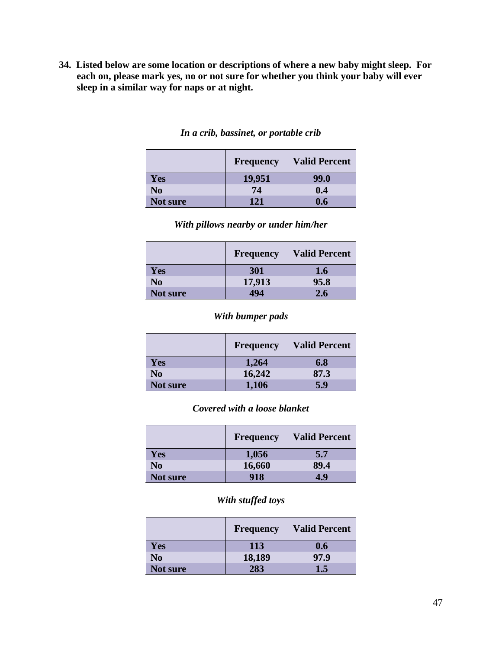**34. Listed below are some location or descriptions of where a new baby might sleep. For each on, please mark yes, no or not sure for whether you think your baby will ever sleep in a similar way for naps or at night.**

|                 | <b>Frequency</b> | <b>Valid Percent</b> |
|-----------------|------------------|----------------------|
| Yes             | 19,951           | 99.0                 |
| No              | 74               | 0.4                  |
| <b>Not sure</b> | 121              | 0.6                  |

# *In a crib, bassinet, or portable crib*

### *With pillows nearby or under him/her*

|                 | <b>Frequency</b> | <b>Valid Percent</b> |
|-----------------|------------------|----------------------|
| Yes             | 301              | 1.6                  |
| N <sub>0</sub>  | 17,913           | 95.8                 |
| <b>Not sure</b> | 494              | 2.6                  |

#### *With bumper pads*

|                 | <b>Frequency</b> | <b>Valid Percent</b> |
|-----------------|------------------|----------------------|
| Yes             | 1,264            | 6.8                  |
| N <sub>0</sub>  | 16,242           | 87.3                 |
| <b>Not sure</b> | 1,106            | 5.9                  |

### *Covered with a loose blanket*

|                 | <b>Frequency</b> | <b>Valid Percent</b> |
|-----------------|------------------|----------------------|
| Yes             | 1,056            | 5.7                  |
| N <sub>0</sub>  | 16,660           | 89.4                 |
| <b>Not sure</b> | 918              | 1.9                  |

### *With stuffed toys*

|                 | <b>Frequency</b> | <b>Valid Percent</b> |
|-----------------|------------------|----------------------|
| Yes             | 113              | 0.6                  |
| No              | 18,189           | 97.9                 |
| <b>Not sure</b> | 283              | 1.5                  |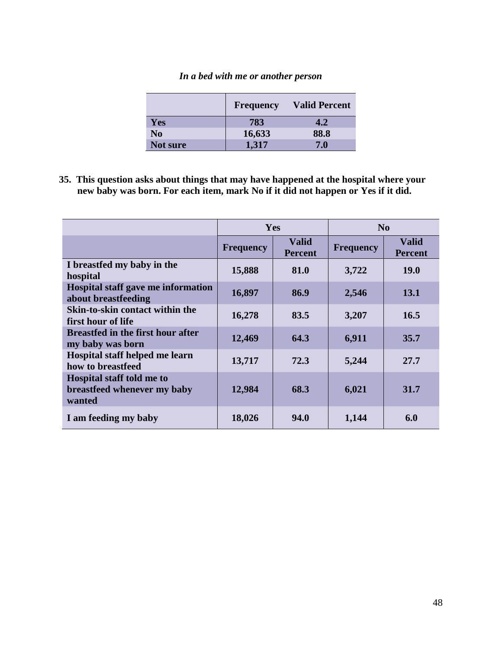### *In a bed with me or another person*

|                | <b>Frequency</b> | <b>Valid Percent</b> |
|----------------|------------------|----------------------|
| Yes            | 783              | 4.2                  |
| N <sub>0</sub> | 16,633           | 88.8                 |
| Not sure       | 1,317            | 7.0                  |

**35. This question asks about things that may have happened at the hospital where your new baby was born. For each item, mark No if it did not happen or Yes if it did.** 

|                                                                           | Yes              |                                | No               |                                |
|---------------------------------------------------------------------------|------------------|--------------------------------|------------------|--------------------------------|
|                                                                           | <b>Frequency</b> | <b>Valid</b><br><b>Percent</b> | <b>Frequency</b> | <b>Valid</b><br><b>Percent</b> |
| I breastfed my baby in the<br>hospital                                    | 15,888           | 81.0                           | 3,722            | <b>19.0</b>                    |
| Hospital staff gave me information<br>about breastfeeding                 | 16,897           | 86.9                           | 2,546            | 13.1                           |
| Skin-to-skin contact within the<br>first hour of life                     | 16,278           | 83.5                           | 3,207            | 16.5                           |
| <b>Breastfed in the first hour after</b><br>my baby was born              | 12,469           | 64.3                           | 6,911            | 35.7                           |
| Hospital staff helped me learn<br>how to breastfeed                       | 13,717           | 72.3                           | 5,244            | 27.7                           |
| <b>Hospital staff told me to</b><br>breastfeed whenever my baby<br>wanted | 12,984           | 68.3                           | 6,021            | 31.7                           |
| I am feeding my baby                                                      | 18,026           | 94.0                           | 1,144            | 6.0                            |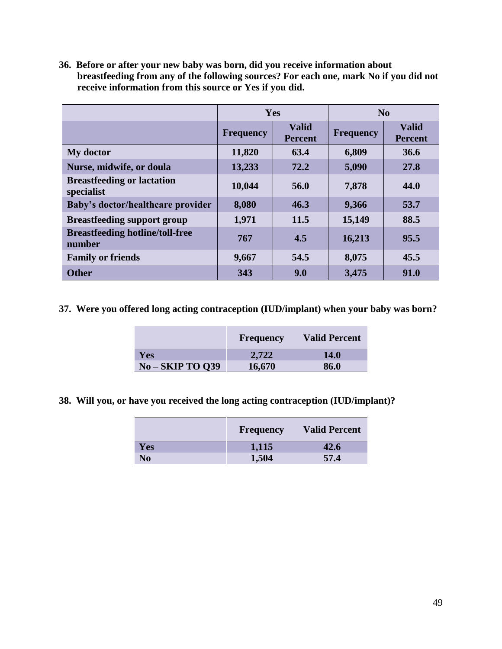**36. Before or after your new baby was born, did you receive information about breastfeeding from any of the following sources? For each one, mark No if you did not receive information from this source or Yes if you did.** 

|                                                  | Yes              |                                | N <sub>0</sub>   |                                |
|--------------------------------------------------|------------------|--------------------------------|------------------|--------------------------------|
|                                                  | <b>Frequency</b> | <b>Valid</b><br><b>Percent</b> | <b>Frequency</b> | <b>Valid</b><br><b>Percent</b> |
| My doctor                                        | 11,820           | 63.4                           | 6,809            | 36.6                           |
| Nurse, midwife, or doula                         | 13,233           | 72.2                           | 5,090            | 27.8                           |
| <b>Breastfeeding or lactation</b><br>specialist  | 10,044           | 56.0                           | 7,878            | 44.0                           |
| Baby's doctor/healthcare provider                | 8,080            | 46.3                           | 9,366            | 53.7                           |
| <b>Breastfeeding support group</b>               | 1,971            | 11.5                           | 15,149           | 88.5                           |
| <b>Breastfeeding hotline/toll-free</b><br>number | 767              | 4.5                            | 16,213           | 95.5                           |
| <b>Family or friends</b>                         | 9,667            | 54.5                           | 8,075            | 45.5                           |
| <b>Other</b>                                     | 343              | 9.0                            | 3,475            | 91.0                           |

**37. Were you offered long acting contraception (IUD/implant) when your baby was born?** 

|                         | <b>Frequency</b> | <b>Valid Percent</b> |
|-------------------------|------------------|----------------------|
| Yes                     | 2,722            | <b>14.0</b>          |
| <b>No – SKIP TO 039</b> | 16,670           | 86.0                 |

**38. Will you, or have you received the long acting contraception (IUD/implant)?**

|     | <b>Frequency</b> | <b>Valid Percent</b> |
|-----|------------------|----------------------|
| Yes | 1,115            | 42.6                 |
| No  | 1,504            | 57.4                 |